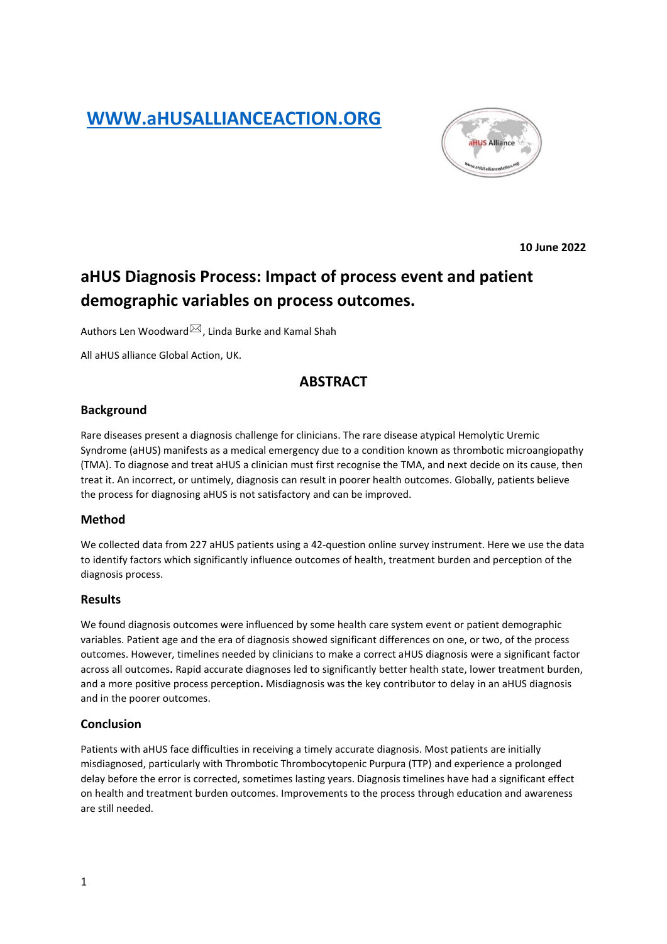# **[WWW.aHUSALLIANCEACTION.ORG](http://www.ahusallianceaction.org/)**



**10 June 2022**

# **aHUS Diagnosis Process: Impact of process event and patient demographic variables on process outcomes.**

Authors Len Woodward $\boxtimes$ , Linda Burke and Kamal Shah

All aHUS alliance Global Action, UK.

# **ABSTRACT**

#### **Background**

Rare diseases present a diagnosis challenge for clinicians. The rare disease atypical Hemolytic Uremic Syndrome (aHUS) manifests as a medical emergency due to a condition known as thrombotic microangiopathy (TMA). To diagnose and treat aHUS a clinician must first recognise the TMA, and next decide on its cause, then treat it. An incorrect, or untimely, diagnosis can result in poorer health outcomes. Globally, patients believe the process for diagnosing aHUS is not satisfactory and can be improved.

#### **Method**

We collected data from 227 aHUS patients using a 42-question online survey instrument. Here we use the data to identify factors which significantly influence outcomes of health, treatment burden and perception of the diagnosis process.

#### **Results**

We found diagnosis outcomes were influenced by some health care system event or patient demographic variables. Patient age and the era of diagnosis showed significant differences on one, or two, of the process outcomes. However, timelines needed by clinicians to make a correct aHUS diagnosis were a significant factor across all outcomes**.** Rapid accurate diagnoses led to significantly better health state, lower treatment burden, and a more positive process perception**.** Misdiagnosis was the key contributor to delay in an aHUS diagnosis and in the poorer outcomes.

#### **Conclusion**

Patients with aHUS face difficulties in receiving a timely accurate diagnosis. Most patients are initially misdiagnosed, particularly with Thrombotic Thrombocytopenic Purpura (TTP) and experience a prolonged delay before the error is corrected, sometimes lasting years. Diagnosis timelines have had a significant effect on health and treatment burden outcomes. Improvements to the process through education and awareness are still needed.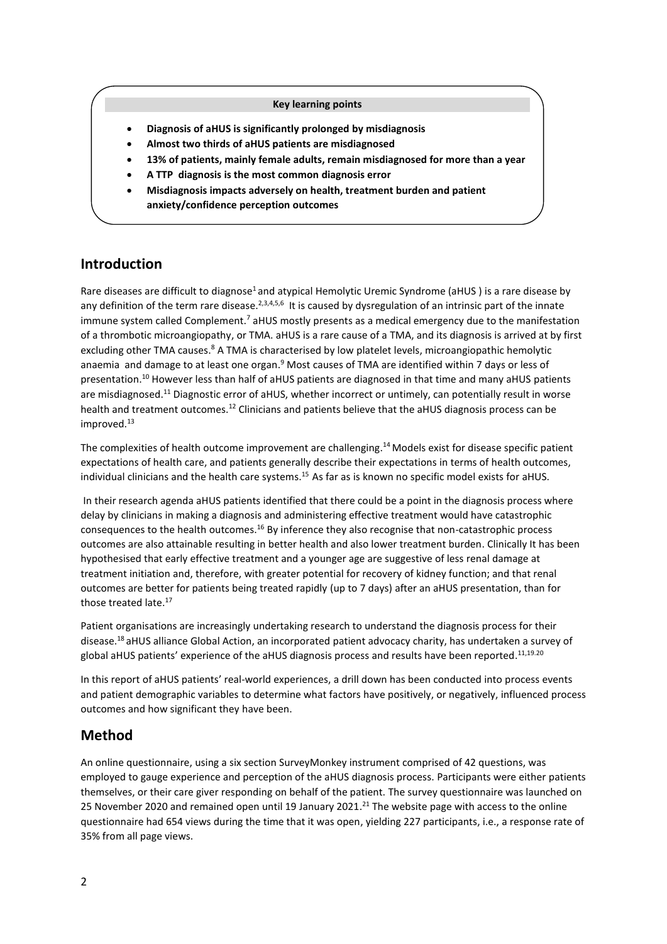#### **Key learning points**

- **Diagnosis of aHUS is significantly prolonged by misdiagnosis**
- **Almost two thirds of aHUS patients are misdiagnosed**
- **13% of patients, mainly female adults, remain misdiagnosed for more than a year**
- **A TTP diagnosis is the most common diagnosis error**
- **Misdiagnosis impacts adversely on health, treatment burden and patient anxiety/confidence perception outcomes**

# **Introduction**

Rare diseases are difficult to diagnose<sup>1</sup> and atypical Hemolytic Uremic Syndrome (aHUS) is a rare disease by any definition of the term rare disease.<sup>2,3,4,5,6</sup> It is caused by dysregulation of an intrinsic part of the innate immune system called Complement.<sup>7</sup> aHUS mostly presents as a medical emergency due to the manifestation of a thrombotic microangiopathy, or TMA. aHUS is a rare cause of a TMA, and its diagnosis is arrived at by first excluding other TMA causes.<sup>8</sup> A TMA is characterised by low platelet levels, microangiopathic hemolytic anaemia and damage to at least one organ.<sup>9</sup> Most causes of TMA are identified within 7 days or less of presentation.<sup>10</sup> However less than half of aHUS patients are diagnosed in that time and many aHUS patients are misdiagnosed.<sup>11</sup> Diagnostic error of aHUS, whether incorrect or untimely, can potentially result in worse health and treatment outcomes.<sup>12</sup> Clinicians and patients believe that the aHUS diagnosis process can be improved.<sup>13</sup>

The complexities of health outcome improvement are challenging.<sup>14</sup> Models exist for disease specific patient expectations of health care, and patients generally describe their expectations in terms of health outcomes, individual clinicians and the health care systems.<sup>15</sup> As far as is known no specific model exists for aHUS.

In their research agenda aHUS patients identified that there could be a point in the diagnosis process where delay by clinicians in making a diagnosis and administering effective treatment would have catastrophic consequences to the health outcomes.<sup>16</sup> By inference they also recognise that non-catastrophic process outcomes are also attainable resulting in better health and also lower treatment burden. Clinically It has been hypothesised that early effective treatment and a younger age are suggestive of less renal damage at treatment initiation and, therefore, with greater potential for recovery of kidney function; and that renal outcomes are better for patients being treated rapidly (up to 7 days) after an aHUS presentation, than for those treated late. 17

Patient organisations are increasingly undertaking research to understand the diagnosis process for their disease.<sup>18</sup> aHUS alliance Global Action, an incorporated patient advocacy charity, has undertaken a survey of global aHUS patients' experience of the aHUS diagnosis process and results have been reported.<sup>11,19.20</sup>

In this report of aHUS patients' real-world experiences, a drill down has been conducted into process events and patient demographic variables to determine what factors have positively, or negatively, influenced process outcomes and how significant they have been.

# **Method**

An online questionnaire, using a six section SurveyMonkey instrument comprised of 42 questions, was employed to gauge experience and perception of the aHUS diagnosis process. Participants were either patients themselves, or their care giver responding on behalf of the patient. The survey questionnaire was launched on 25 November 2020 and remained open until 19 January 2021.<sup>21</sup> The website page with access to the online questionnaire had 654 views during the time that it was open, yielding 227 participants, i.e., a response rate of 35% from all page views.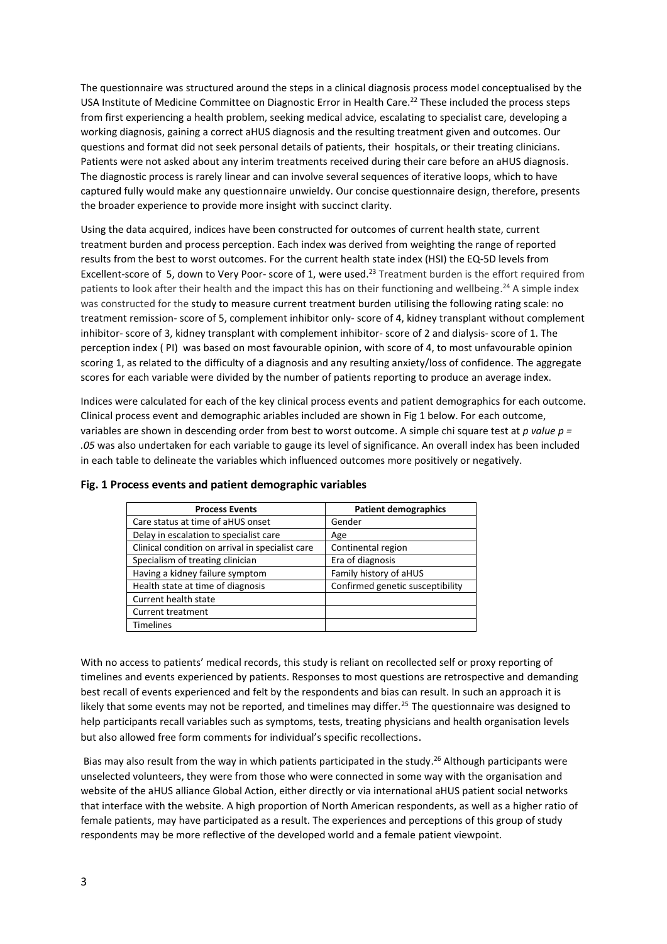The questionnaire was structured around the steps in a clinical diagnosis process model conceptualised by the USA Institute of Medicine Committee on Diagnostic Error in Health Care. <sup>22</sup> These included the process steps from first experiencing a health problem, seeking medical advice, escalating to specialist care, developing a working diagnosis, gaining a correct aHUS diagnosis and the resulting treatment given and outcomes. Our questions and format did not seek personal details of patients, their hospitals, or their treating clinicians. Patients were not asked about any interim treatments received during their care before an aHUS diagnosis. The diagnostic process is rarely linear and can involve several sequences of iterative loops, which to have captured fully would make any questionnaire unwieldy. Our concise questionnaire design, therefore, presents the broader experience to provide more insight with succinct clarity.

Using the data acquired, indices have been constructed for outcomes of current health state, current treatment burden and process perception. Each index was derived from weighting the range of reported results from the best to worst outcomes. For the current health state index (HSI) the EQ-5D levels from Excellent-score of 5, down to Very Poor- score of 1, were used.<sup>23</sup> Treatment burden is the effort required from patients to look after their health and the impact this has on their functioning and wellbeing.<sup>24</sup> A simple index was constructed for the study to measure current treatment burden utilising the following rating scale: no treatment remission- score of 5, complement inhibitor only- score of 4, kidney transplant without complement inhibitor- score of 3, kidney transplant with complement inhibitor- score of 2 and dialysis- score of 1. The perception index ( PI) was based on most favourable opinion, with score of 4, to most unfavourable opinion scoring 1, as related to the difficulty of a diagnosis and any resulting anxiety/loss of confidence. The aggregate scores for each variable were divided by the number of patients reporting to produce an average index.

Indices were calculated for each of the key clinical process events and patient demographics for each outcome. Clinical process event and demographic ariables included are shown in Fig 1 below. For each outcome, variables are shown in descending order from best to worst outcome. A simple chi square test at *p value p = .05* was also undertaken for each variable to gauge its level of significance. An overall index has been included in each table to delineate the variables which influenced outcomes more positively or negatively.

| <b>Process Events</b>                            | <b>Patient demographics</b>      |  |  |  |  |
|--------------------------------------------------|----------------------------------|--|--|--|--|
| Care status at time of aHUS onset                | Gender                           |  |  |  |  |
| Delay in escalation to specialist care           | Age                              |  |  |  |  |
| Clinical condition on arrival in specialist care | Continental region               |  |  |  |  |
| Specialism of treating clinician                 | Era of diagnosis                 |  |  |  |  |
| Having a kidney failure symptom                  | Family history of aHUS           |  |  |  |  |
| Health state at time of diagnosis                | Confirmed genetic susceptibility |  |  |  |  |
| Current health state                             |                                  |  |  |  |  |
| <b>Current treatment</b>                         |                                  |  |  |  |  |
| <b>Timelines</b>                                 |                                  |  |  |  |  |

#### **Fig. 1 Process events and patient demographic variables**

With no access to patients' medical records, this study is reliant on recollected self or proxy reporting of timelines and events experienced by patients. Responses to most questions are retrospective and demanding best recall of events experienced and felt by the respondents and bias can result. In such an approach it is likely that some events may not be reported, and timelines may differ.<sup>25</sup> The questionnaire was designed to help participants recall variables such as symptoms, tests, treating physicians and health organisation levels but also allowed free form comments for individual's specific recollections.

Bias may also result from the way in which patients participated in the study.<sup>26</sup> Although participants were unselected volunteers, they were from those who were connected in some way with the organisation and website of the aHUS alliance Global Action, either directly or via international aHUS patient social networks that interface with the website. A high proportion of North American respondents, as well as a higher ratio of female patients, may have participated as a result. The experiences and perceptions of this group of study respondents may be more reflective of the developed world and a female patient viewpoint.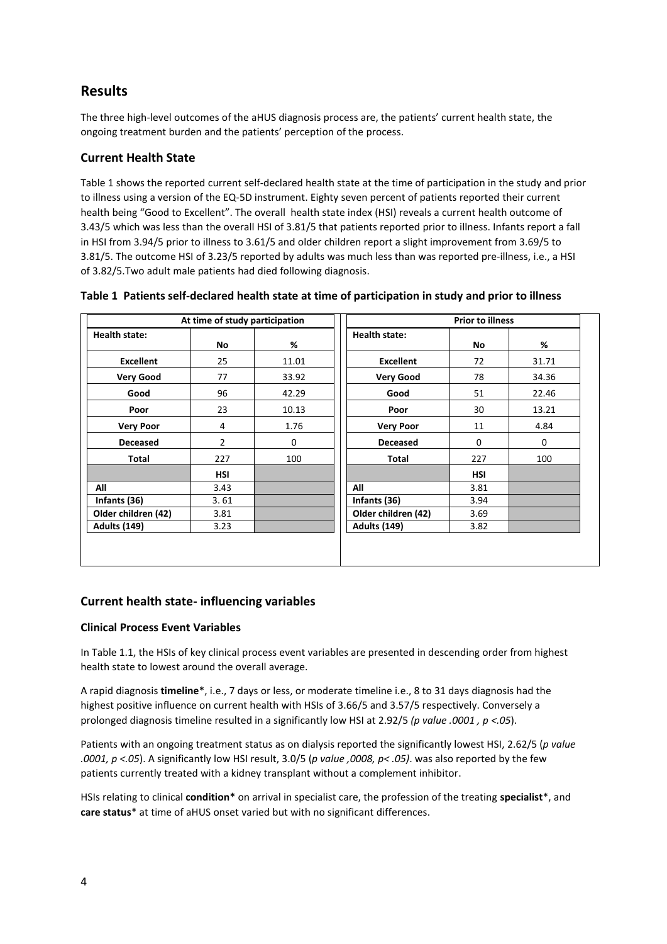# **Results**

The three high-level outcomes of the aHUS diagnosis process are, the patients' current health state, the ongoing treatment burden and the patients' perception of the process.

# **Current Health State**

Table 1 shows the reported current self-declared health state at the time of participation in the study and prior to illness using a version of the EQ-5D instrument. Eighty seven percent of patients reported their current health being "Good to Excellent". The overall health state index (HSI) reveals a current health outcome of 3.43/5 which was less than the overall HSI of 3.81/5 that patients reported prior to illness. Infants report a fall in HSI from 3.94/5 prior to illness to 3.61/5 and older children report a slight improvement from 3.69/5 to 3.81/5. The outcome HSI of 3.23/5 reported by adults was much less than was reported pre-illness, i.e., a HSI of 3.82/5.Two adult male patients had died following diagnosis.

|                     | At time of study participation |       | <b>Prior to illness</b> |            |       |  |  |
|---------------------|--------------------------------|-------|-------------------------|------------|-------|--|--|
| Health state:       | No                             | %     | <b>Health state:</b>    | No         | %     |  |  |
| <b>Excellent</b>    | 25                             | 11.01 | <b>Excellent</b>        | 72         | 31.71 |  |  |
| <b>Very Good</b>    | 77                             | 33.92 | <b>Very Good</b>        | 78         | 34.36 |  |  |
| Good                | 96                             | 42.29 | Good                    | 51         | 22.46 |  |  |
| Poor                | 23                             | 10.13 | Poor                    | 30         | 13.21 |  |  |
| <b>Very Poor</b>    | 4                              | 1.76  | <b>Very Poor</b>        | 11         | 4.84  |  |  |
| <b>Deceased</b>     | $\overline{2}$                 | 0     | <b>Deceased</b>         | 0          | 0     |  |  |
| Total               | 227                            | 100   | Total                   | 227        | 100   |  |  |
|                     | <b>HSI</b>                     |       |                         | <b>HSI</b> |       |  |  |
| All                 | 3.43                           |       | All                     | 3.81       |       |  |  |
| Infants (36)        | 3.61                           |       | Infants (36)            | 3.94       |       |  |  |
| Older children (42) | 3.81                           |       | Older children (42)     | 3.69       |       |  |  |
| <b>Adults (149)</b> | 3.23                           |       | <b>Adults (149)</b>     | 3.82       |       |  |  |

| Table 1 Patients self-declared health state at time of participation in study and prior to illness |  |
|----------------------------------------------------------------------------------------------------|--|
|----------------------------------------------------------------------------------------------------|--|

# **Current health state- influencing variables**

#### **Clinical Process Event Variables**

In Table 1.1, the HSIs of key clinical process event variables are presented in descending order from highest health state to lowest around the overall average.

A rapid diagnosis **timeline**\*, i.e., 7 days or less, or moderate timeline i.e., 8 to 31 days diagnosis had the highest positive influence on current health with HSIs of 3.66/5 and 3.57/5 respectively. Conversely a prolonged diagnosis timeline resulted in a significantly low HSI at 2.92/5 *(p value .0001 , p <.05*).

Patients with an ongoing treatment status as on dialysis reported the significantly lowest HSI, 2.62/5 (*p value .0001, p <.05*). A significantly low HSI result, 3.0/5 (*p value ,0008, p< .05)*. was also reported by the few patients currently treated with a kidney transplant without a complement inhibitor.

HSIs relating to clinical **condition\*** on arrival in specialist care, the profession of the treating **specialist**\*, and **care status**\* at time of aHUS onset varied but with no significant differences.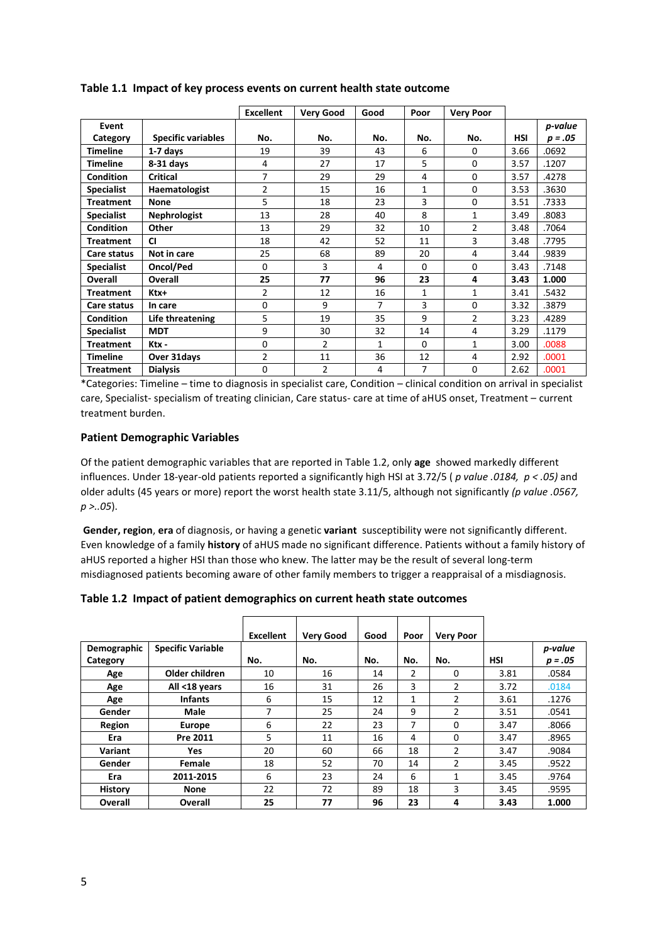|                   |                           | <b>Excellent</b> | <b>Very Good</b> | Good | Poor     | <b>Very Poor</b> |            |           |
|-------------------|---------------------------|------------------|------------------|------|----------|------------------|------------|-----------|
| Event             |                           |                  |                  |      |          |                  |            | p-value   |
| Category          | <b>Specific variables</b> | No.              | No.              | No.  | No.      | No.              | <b>HSI</b> | $p = .05$ |
| <b>Timeline</b>   | 1-7 days                  | 19               | 39               | 43   | 6        | 0                | 3.66       | .0692     |
| <b>Timeline</b>   | $8-31$ days               | 4                | 27               | 17   | 5        | $\Omega$         | 3.57       | .1207     |
| <b>Condition</b>  | <b>Critical</b>           | 7                | 29               | 29   | 4        | 0                | 3.57       | .4278     |
| <b>Specialist</b> | Haematologist             | $\overline{2}$   | 15               | 16   | 1        | $\Omega$         | 3.53       | .3630     |
| <b>Treatment</b>  | <b>None</b>               | 5                | 18               | 23   | 3        | $\Omega$         | 3.51       | .7333     |
| <b>Specialist</b> | Nephrologist              | 13               | 28               | 40   | 8        | $\mathbf{1}$     | 3.49       | .8083     |
| Condition         | Other                     | 13               | 29               | 32   | 10       | $\overline{2}$   | 3.48       | .7064     |
| <b>Treatment</b>  | <b>CI</b>                 | 18               | 42               | 52   | 11       | 3                | 3.48       | .7795     |
| Care status       | Not in care               | 25               | 68               | 89   | 20       | 4                | 3.44       | .9839     |
| <b>Specialist</b> | Oncol/Ped                 | 0                | 3                | 4    | $\Omega$ | 0                | 3.43       | .7148     |
| Overall           | Overall                   | 25               | 77               | 96   | 23       | 4                | 3.43       | 1.000     |
| <b>Treatment</b>  | Ktx+                      | $\overline{2}$   | 12               | 16   | 1        | 1                | 3.41       | .5432     |
| Care status       | In care                   | $\Omega$         | 9                | 7    | 3        | $\Omega$         | 3.32       | .3879     |
| <b>Condition</b>  | Life threatening          | 5                | 19               | 35   | 9        | $\overline{2}$   | 3.23       | .4289     |
| <b>Specialist</b> | <b>MDT</b>                | 9                | 30               | 32   | 14       | 4                | 3.29       | .1179     |
| <b>Treatment</b>  | Ktx -                     | $\Omega$         | $\overline{2}$   | 1    | $\Omega$ | 1                | 3.00       | .0088     |
| <b>Timeline</b>   | Over 31 days              | $\overline{2}$   | 11               | 36   | 12       | 4                | 2.92       | .0001     |
| <b>Treatment</b>  | <b>Dialysis</b>           | $\mathbf 0$      | $\overline{2}$   | 4    | 7        | 0                | 2.62       | .0001     |

**Table 1.1 Impact of key process events on current health state outcome**

\*Categories: Timeline – time to diagnosis in specialist care, Condition – clinical condition on arrival in specialist care, Specialist- specialism of treating clinician, Care status- care at time of aHUS onset, Treatment – current treatment burden.

#### **Patient Demographic Variables**

Of the patient demographic variables that are reported in Table 1.2, only **age** showed markedly different influences. Under 18-year-old patients reported a significantly high HSI at 3.72/5 ( *p value .0184, p < .05)* and older adults (45 years or more) report the worst health state 3.11/5, although not significantly *(p value .0567, p >..05*).

**Gender, region**, **era** of diagnosis, or having a genetic **variant** susceptibility were not significantly different. Even knowledge of a family **history** of aHUS made no significant difference. Patients without a family history of aHUS reported a higher HSI than those who knew. The latter may be the result of several long-term misdiagnosed patients becoming aware of other family members to trigger a reappraisal of a misdiagnosis.

**Table 1.2 Impact of patient demographics on current heath state outcomes**

|                |                          | <b>Excellent</b> | <b>Very Good</b> | Good | Poor           | <b>Very Poor</b> |            |           |
|----------------|--------------------------|------------------|------------------|------|----------------|------------------|------------|-----------|
| Demographic    | <b>Specific Variable</b> |                  |                  |      |                |                  |            | p-value   |
| Category       |                          | No.              | No.              | No.  | No.            | No.              | <b>HSI</b> | $p = .05$ |
| Age            | Older children           | 10               | 16               | 14   | 2              | 0                | 3.81       | .0584     |
| Age            | All <18 years            | 16               | 31               | 26   | 3              | 2                | 3.72       | .0184     |
| Age            | <b>Infants</b>           | 6                | 15               | 12   | 1              | $\overline{2}$   | 3.61       | .1276     |
| Gender         | Male                     | 7                | 25               | 24   | 9              | 2                | 3.51       | .0541     |
| Region         | Europe                   | 6                | 22               | 23   | $\overline{7}$ | 0                | 3.47       | .8066     |
| Era            | Pre 2011                 | 5                | 11               | 16   | 4              | 0                | 3.47       | .8965     |
| Variant        | <b>Yes</b>               | 20               | 60               | 66   | 18             | $\overline{2}$   | 3.47       | .9084     |
| Gender         | Female                   | 18               | 52               | 70   | 14             | 2                | 3.45       | .9522     |
| Era            | 2011-2015                | 6                | 23               | 24   | 6              | 1                | 3.45       | .9764     |
| <b>History</b> | <b>None</b>              | 22               | 72               | 89   | 18             | 3                | 3.45       | .9595     |
| Overall        | Overall                  | 25               | 77               | 96   | 23             | 4                | 3.43       | 1.000     |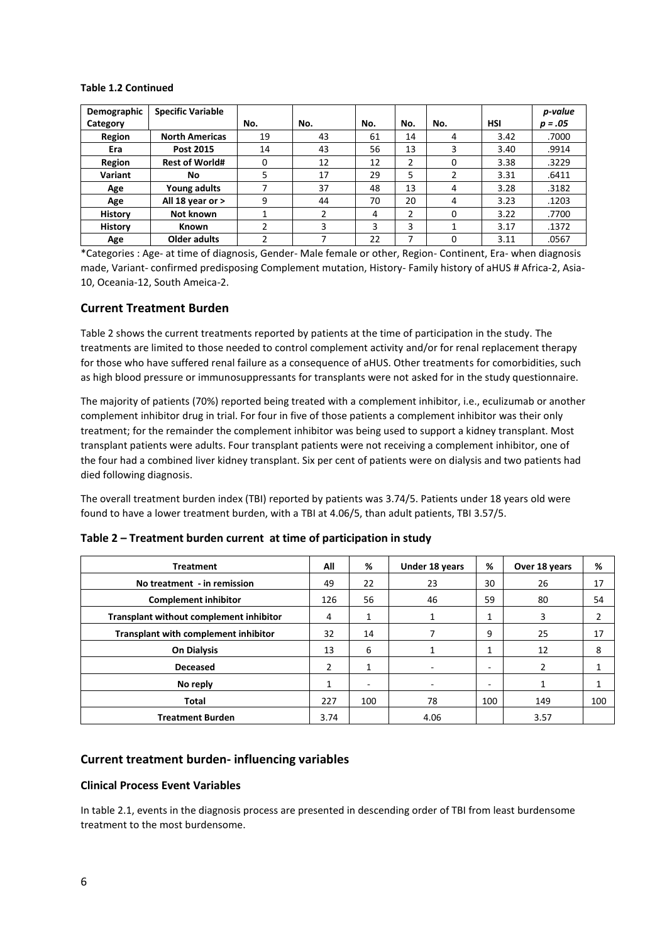#### **Table 1.2 Continued**

| Demographic    | <b>Specific Variable</b> |     |     |     |     |          |            | p-value   |
|----------------|--------------------------|-----|-----|-----|-----|----------|------------|-----------|
| Category       |                          | No. | No. | No. | No. | No.      | <b>HSI</b> | $p = .05$ |
| Region         | <b>North Americas</b>    | 19  | 43  | 61  | 14  | 4        | 3.42       | .7000     |
| Era            | Post 2015                | 14  | 43  | 56  | 13  | 3        | 3.40       | .9914     |
| Region         | <b>Rest of World#</b>    | O   | 12  | 12  | 2   | 0        | 3.38       | .3229     |
| Variant        | No                       | 5   | 17  | 29  | 5   |          | 3.31       | .6411     |
| Age            | Young adults             |     | 37  | 48  | 13  | 4        | 3.28       | .3182     |
| Age            | All 18 year or >         | 9   | 44  | 70  | 20  | 4        | 3.23       | .1203     |
| <b>History</b> | Not known                |     | 2   | 4   | 2   | $\Omega$ | 3.22       | .7700     |
| <b>History</b> | <b>Known</b>             | ኀ   | 3   | 3   | 3   |          | 3.17       | .1372     |
| Age            | Older adults             |     | 7   | 22  | ⇁   | O        | 3.11       | .0567     |

\*Categories : Age- at time of diagnosis, Gender- Male female or other, Region- Continent, Era- when diagnosis made, Variant- confirmed predisposing Complement mutation, History- Family history of aHUS # Africa-2, Asia-10, Oceania-12, South Ameica-2.

## **Current Treatment Burden**

Table 2 shows the current treatments reported by patients at the time of participation in the study. The treatments are limited to those needed to control complement activity and/or for renal replacement therapy for those who have suffered renal failure as a consequence of aHUS. Other treatments for comorbidities, such as high blood pressure or immunosuppressants for transplants were not asked for in the study questionnaire.

The majority of patients (70%) reported being treated with a complement inhibitor, i.e., eculizumab or another complement inhibitor drug in trial. For four in five of those patients a complement inhibitor was their only treatment; for the remainder the complement inhibitor was being used to support a kidney transplant. Most transplant patients were adults. Four transplant patients were not receiving a complement inhibitor, one of the four had a combined liver kidney transplant. Six per cent of patients were on dialysis and two patients had died following diagnosis.

The overall treatment burden index (TBI) reported by patients was 3.74/5. Patients under 18 years old were found to have a lower treatment burden, with a TBI at 4.06/5, than adult patients, TBI 3.57/5.

| <b>Treatment</b>                            | All  | %                        | Under 18 years | %                        | Over 18 years | %   |
|---------------------------------------------|------|--------------------------|----------------|--------------------------|---------------|-----|
| No treatment - in remission                 | 49   | 22                       | 23             | 30                       | 26            | 17  |
| <b>Complement inhibitor</b>                 | 126  | 56                       | 46             | 59                       | 80            | 54  |
| Transplant without complement inhibitor     | 4    | 1                        | 1              | 1                        | 3             | 2   |
| <b>Transplant with complement inhibitor</b> | 32   | 14                       |                | 9                        | 25            | 17  |
| <b>On Dialysis</b>                          | 13   | 6                        |                | 1                        | 12            | 8   |
| <b>Deceased</b>                             | 2    | $\mathbf{1}$             |                | $\overline{\phantom{0}}$ | 2             | 1   |
| No reply                                    | 1    | $\overline{\phantom{a}}$ |                | ۰                        | 1             | 1   |
| Total                                       | 227  | 100                      | 78             | 100                      | 149           | 100 |
| <b>Treatment Burden</b>                     | 3.74 |                          | 4.06           |                          | 3.57          |     |

#### **Table 2 – Treatment burden current at time of participation in study**

#### **Current treatment burden- influencing variables**

#### **Clinical Process Event Variables**

In table 2.1, events in the diagnosis process are presented in descending order of TBI from least burdensome treatment to the most burdensome.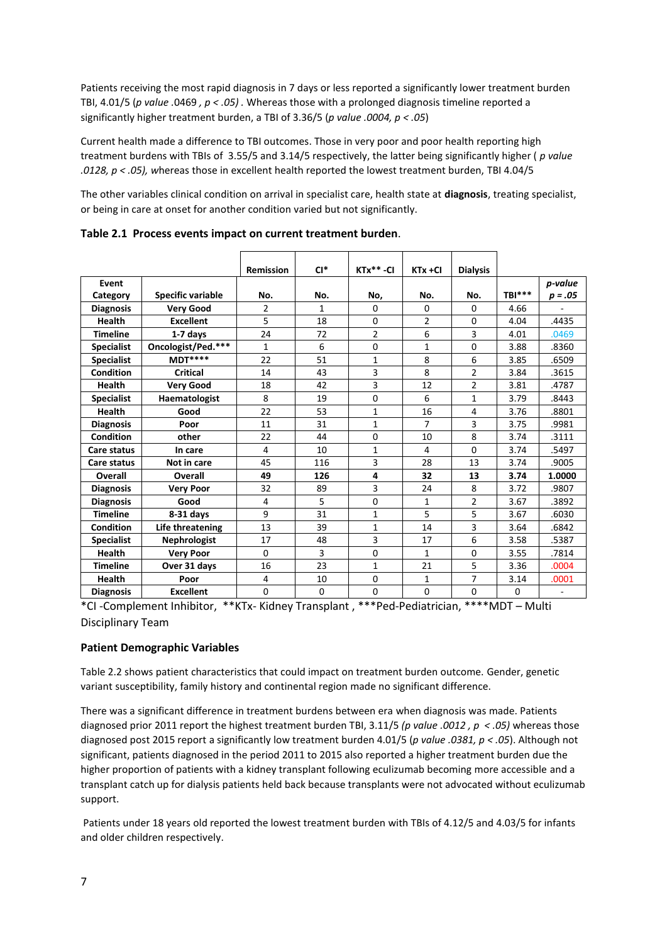Patients receiving the most rapid diagnosis in 7 days or less reported a significantly lower treatment burden TBI, 4.01/5 (*p value .*0469 *, p < .05) .* Whereas those with a prolonged diagnosis timeline reported a significantly higher treatment burden, a TBI of 3.36/5 (*p value .0004, p < .05*)

Current health made a difference to TBI outcomes. Those in very poor and poor health reporting high treatment burdens with TBIs of 3.55/5 and 3.14/5 respectively, the latter being significantly higher ( *p value .0128, p < .05), w*hereas those in excellent health reported the lowest treatment burden, TBI 4.04/5

The other variables clinical condition on arrival in specialist care, health state at **diagnosis**, treating specialist, or being in care at onset for another condition varied but not significantly.

|                   |                          | <b>Remission</b> | $Cl^*$       | $KTx** -CI$    | $KTx + CI$     | <b>Dialysis</b> |          |           |
|-------------------|--------------------------|------------------|--------------|----------------|----------------|-----------------|----------|-----------|
| Event             |                          |                  |              |                |                |                 |          | p-value   |
| Category          | <b>Specific variable</b> | No.              | No.          | No,            | No.            | No.             | TBI***   | $p = .05$ |
| <b>Diagnosis</b>  | <b>Very Good</b>         | $\overline{2}$   | $\mathbf{1}$ | 0              | $\Omega$       | 0               | 4.66     |           |
| <b>Health</b>     | <b>Excellent</b>         | 5                | 18           | $\Omega$       | $\overline{2}$ | 0               | 4.04     | .4435     |
| <b>Timeline</b>   | 1-7 days                 | 24               | 72           | $\overline{2}$ | 6              | 3               | 4.01     | .0469     |
| <b>Specialist</b> | Oncologist/Ped.***       | $\mathbf{1}$     | 6            | 0              | $\mathbf{1}$   | 0               | 3.88     | .8360     |
| <b>Specialist</b> | <b>MDT****</b>           | 22               | 51           | $\mathbf{1}$   | 8              | 6               | 3.85     | .6509     |
| <b>Condition</b>  | <b>Critical</b>          | 14               | 43           | 3              | 8              | $\overline{2}$  | 3.84     | .3615     |
| <b>Health</b>     | <b>Very Good</b>         | 18               | 42           | $\overline{3}$ | 12             | $\overline{2}$  | 3.81     | .4787     |
| <b>Specialist</b> | Haematologist            | 8                | 19           | 0              | 6              | 1               | 3.79     | .8443     |
| Health            | Good                     | 22               | 53           | $\mathbf{1}$   | 16             | 4               | 3.76     | .8801     |
| <b>Diagnosis</b>  | Poor                     | 11               | 31           | $\mathbf{1}$   | $\overline{7}$ | 3               | 3.75     | .9981     |
| Condition         | other                    | 22               | 44           | 0              | 10             | 8               | 3.74     | .3111     |
| Care status       | In care                  | 4                | 10           | 1              | 4              | 0               | 3.74     | .5497     |
| Care status       | Not in care              | 45               | 116          | 3              | 28             | 13              | 3.74     | .9005     |
| Overall           | Overall                  | 49               | 126          | 4              | 32             | 13              | 3.74     | 1.0000    |
| <b>Diagnosis</b>  | <b>Very Poor</b>         | 32               | 89           | 3              | 24             | 8               | 3.72     | .9807     |
| <b>Diagnosis</b>  | Good                     | 4                | 5            | $\Omega$       | $\mathbf{1}$   | $\overline{2}$  | 3.67     | .3892     |
| <b>Timeline</b>   | $8-31$ days              | 9                | 31           | 1              | 5              | 5               | 3.67     | .6030     |
| <b>Condition</b>  | Life threatening         | 13               | 39           | $\mathbf{1}$   | 14             | 3               | 3.64     | .6842     |
| <b>Specialist</b> | <b>Nephrologist</b>      | 17               | 48           | 3              | 17             | 6               | 3.58     | .5387     |
| <b>Health</b>     | <b>Very Poor</b>         | $\Omega$         | 3            | 0              | $\mathbf{1}$   | 0               | 3.55     | .7814     |
| <b>Timeline</b>   | Over 31 days             | 16               | 23           | 1              | 21             | 5               | 3.36     | .0004     |
| Health            | Poor                     | 4                | 10           | 0              | $\mathbf{1}$   | 7               | 3.14     | .0001     |
| <b>Diagnosis</b>  | <b>Excellent</b>         | $\Omega$         | $\Omega$     | 0              | 0              | 0               | $\Omega$ |           |

**Table 2.1 Process events impact on current treatment burden**.

\*CI -Complement Inhibitor, \*\*KTx- Kidney Transplant , \*\*\*Ped-Pediatrician, \*\*\*\*MDT – Multi Disciplinary Team

#### **Patient Demographic Variables**

Table 2.2 shows patient characteristics that could impact on treatment burden outcome. Gender, genetic variant susceptibility, family history and continental region made no significant difference.

There was a significant difference in treatment burdens between era when diagnosis was made. Patients diagnosed prior 2011 report the highest treatment burden TBI, 3.11/5 *(p value .0012 , p < .05)* whereas those diagnosed post 2015 report a significantly low treatment burden 4.01/5 (*p value .0381, p < .05*). Although not significant, patients diagnosed in the period 2011 to 2015 also reported a higher treatment burden due the higher proportion of patients with a kidney transplant following eculizumab becoming more accessible and a transplant catch up for dialysis patients held back because transplants were not advocated without eculizumab support.

Patients under 18 years old reported the lowest treatment burden with TBIs of 4.12/5 and 4.03/5 for infants and older children respectively.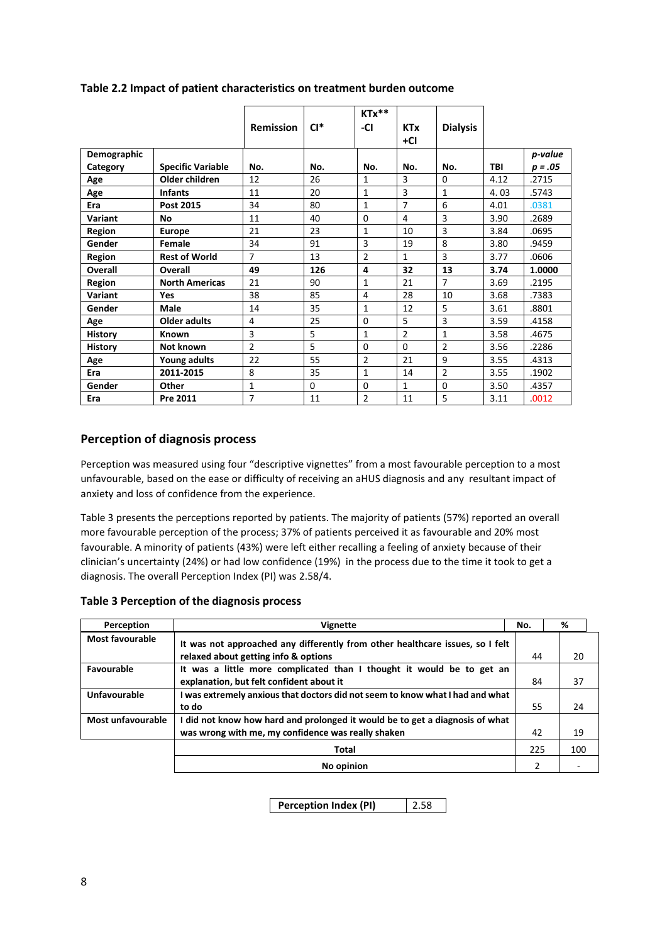|                |                          | <b>Remission</b> | $Cl^*$   | $KTx**$<br>-CI | <b>KTx</b><br>+Cl | <b>Dialysis</b> |            |           |
|----------------|--------------------------|------------------|----------|----------------|-------------------|-----------------|------------|-----------|
| Demographic    |                          |                  |          |                |                   |                 |            | p-value   |
| Category       | <b>Specific Variable</b> | No.              | No.      | No.            | No.               | No.             | <b>TBI</b> | $p = .05$ |
| Age            | Older children           | 12               | 26       | 1              | 3                 | $\Omega$        | 4.12       | .2715     |
| Age            | <b>Infants</b>           | 11               | 20       | $\mathbf{1}$   | 3                 | $\mathbf{1}$    | 4.03       | .5743     |
| Era            | Post 2015                | 34               | 80       | 1              | 7                 | 6               | 4.01       | .0381     |
| Variant        | <b>No</b>                | 11               | 40       | $\Omega$       | 4                 | 3               | 3.90       | .2689     |
| Region         | <b>Europe</b>            | 21               | 23       | 1              | 10                | 3               | 3.84       | .0695     |
| Gender         | Female                   | 34               | 91       | 3              | 19                | 8               | 3.80       | .9459     |
| Region         | <b>Rest of World</b>     | $\overline{7}$   | 13       | $\overline{2}$ | 1                 | 3               | 3.77       | .0606     |
| <b>Overall</b> | Overall                  | 49               | 126      | 4              | 32                | 13              | 3.74       | 1.0000    |
| Region         | <b>North Americas</b>    | 21               | 90       | 1              | 21                | 7               | 3.69       | .2195     |
| Variant        | Yes                      | 38               | 85       | 4              | 28                | 10              | 3.68       | .7383     |
| Gender         | Male                     | 14               | 35       | 1              | 12                | 5               | 3.61       | .8801     |
| Age            | <b>Older adults</b>      | 4                | 25       | $\Omega$       | 5                 | 3               | 3.59       | .4158     |
| <b>History</b> | Known                    | 3                | 5        | 1              | $\overline{2}$    | $\mathbf{1}$    | 3.58       | .4675     |
| <b>History</b> | Not known                | $\mathfrak{p}$   | 5        | $\Omega$       | $\Omega$          | $\mathfrak{p}$  | 3.56       | .2286     |
| Age            | Young adults             | 22               | 55       | $\overline{2}$ | 21                | 9               | 3.55       | .4313     |
| Era            | 2011-2015                | 8                | 35       | $\mathbf{1}$   | 14                | $\overline{2}$  | 3.55       | .1902     |
| Gender         | Other                    | $\mathbf{1}$     | $\Omega$ | 0              | $\mathbf{1}$      | 0               | 3.50       | .4357     |
| Era            | Pre 2011                 | $\overline{7}$   | 11       | $\overline{2}$ | 11                | 5               | 3.11       | .0012     |

#### **Table 2.2 Impact of patient characteristics on treatment burden outcome**

## **Perception of diagnosis process**

Perception was measured using four "descriptive vignettes" from a most favourable perception to a most unfavourable, based on the ease or difficulty of receiving an aHUS diagnosis and any resultant impact of anxiety and loss of confidence from the experience.

Table 3 presents the perceptions reported by patients. The majority of patients (57%) reported an overall more favourable perception of the process; 37% of patients perceived it as favourable and 20% most favourable. A minority of patients (43%) were left either recalling a feeling of anxiety because of their clinician's uncertainty (24%) or had low confidence (19%) in the process due to the time it took to get a diagnosis. The overall Perception Index (PI) was 2.58/4.

#### **Table 3 Perception of the diagnosis process**

| Perception             | <b>Vignette</b>                                                                                                                    | No.            | %   |
|------------------------|------------------------------------------------------------------------------------------------------------------------------------|----------------|-----|
| <b>Most favourable</b> | It was not approached any differently from other healthcare issues, so I felt<br>relaxed about getting info & options              | 44             | 20  |
| Favourable             | It was a little more complicated than I thought it would be to get an<br>explanation, but felt confident about it                  | 84             | 37  |
| <b>Unfavourable</b>    | I was extremely anxious that doctors did not seem to know what I had and what<br>to do                                             | 55             | 24  |
| Most unfavourable      | I did not know how hard and prolonged it would be to get a diagnosis of what<br>was wrong with me, my confidence was really shaken | 42             | 19  |
|                        | <b>Total</b>                                                                                                                       | 225            | 100 |
|                        | No opinion                                                                                                                         | $\mathfrak{p}$ |     |

**Perception Index (PI)** 2.58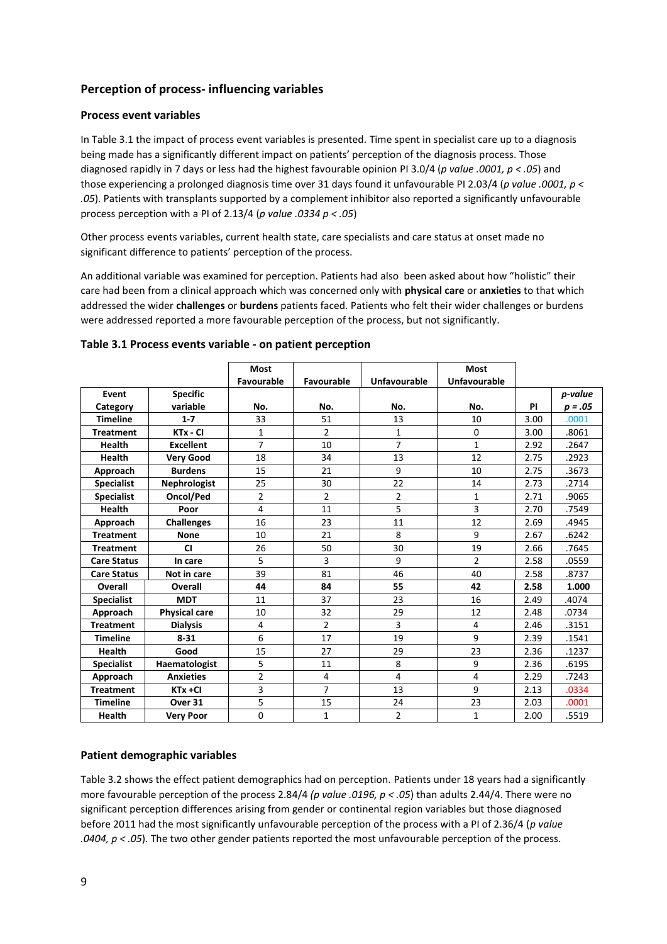# **Perception of process- influencing variables**

#### **Process event variables**

In Table 3.1 the impact of process event variables is presented. Time spent in specialist care up to a diagnosis being made has a significantly different impact on patients' perception of the diagnosis process. Those diagnosed rapidly in 7 days or less had the highest favourable opinion PI 3.0/4 (*p value .0001, p < .05*) and those experiencing a prolonged diagnosis time over 31 days found it unfavourable PI 2.03/4 (*p value .0001, p < .05*). Patients with transplants supported by a complement inhibitor also reported a significantly unfavourable process perception with a PI of 2.13/4 (*p value .0334 p < .05*)

Other process events variables, current health state, care specialists and care status at onset made no significant difference to patients' perception of the process.

An additional variable was examined for perception. Patients had also been asked about how "holistic" their care had been from a clinical approach which was concerned only with **physical care** or **anxieties** to that which addressed the wider **challenges** or **burdens** patients faced. Patients who felt their wider challenges or burdens were addressed reported a more favourable perception of the process, but not significantly.

|                    |                      | <b>Most</b>    |                |                | <b>Most</b>    |           |           |
|--------------------|----------------------|----------------|----------------|----------------|----------------|-----------|-----------|
|                    |                      | Favourable     | Favourable     | Unfavourable   | Unfavourable   |           |           |
| Event              | <b>Specific</b>      |                |                |                |                |           | p-value   |
| Category           | variable             | No.            | No.            | No.            | No.            | <b>PI</b> | $p = .05$ |
| <b>Timeline</b>    | $1 - 7$              | 33             | 51             | 13             | 10             | 3.00      | .0001     |
| <b>Treatment</b>   | KTx - CI             | $\mathbf{1}$   | $\overline{2}$ | $\mathbf{1}$   | $\Omega$       | 3.00      | .8061     |
| <b>Health</b>      | <b>Excellent</b>     | $\overline{7}$ | 10             | $\overline{7}$ | $\mathbf{1}$   | 2.92      | .2647     |
| <b>Health</b>      | <b>Very Good</b>     | 18             | 34             | 13             | 12             | 2.75      | .2923     |
| Approach           | <b>Burdens</b>       | 15             | 21             | 9              | 10             | 2.75      | .3673     |
| <b>Specialist</b>  | Nephrologist         | 25             | 30             | 22             | 14             | 2.73      | .2714     |
| <b>Specialist</b>  | Oncol/Ped            | $\overline{2}$ | $\overline{2}$ | $\overline{2}$ | $\mathbf{1}$   | 2.71      | .9065     |
| Health             | Poor                 | $\overline{4}$ | 11             | 5              | 3              | 2.70      | .7549     |
| Approach           | <b>Challenges</b>    | 16             | 23             | 11             | 12             | 2.69      | .4945     |
| <b>Treatment</b>   | <b>None</b>          | 10             | 21             | 8              | 9              | 2.67      | .6242     |
| <b>Treatment</b>   | <b>CI</b>            | 26             | 50             | 30             | 19             | 2.66      | .7645     |
| <b>Care Status</b> | In care              | 5              | 3              | 9              | $\overline{2}$ | 2.58      | .0559     |
| <b>Care Status</b> | Not in care          | 39             | 81             | 46             | 40             | 2.58      | .8737     |
| <b>Overall</b>     | Overall              | 44             | 84             | 55             | 42             | 2.58      | 1.000     |
| <b>Specialist</b>  | <b>MDT</b>           | 11             | 37             | 23             | 16             | 2.49      | .4074     |
| Approach           | <b>Physical care</b> | 10             | 32             | 29             | 12             | 2.48      | .0734     |
| <b>Treatment</b>   | <b>Dialysis</b>      | 4              | $\mathfrak{p}$ | 3              | 4              | 2.46      | .3151     |
| <b>Timeline</b>    | $8 - 31$             | 6              | 17             | 19             | 9              | 2.39      | .1541     |
| <b>Health</b>      | Good                 | 15             | 27             | 29             | 23             | 2.36      | .1237     |
| <b>Specialist</b>  | Haematologist        | 5              | 11             | 8              | 9              | 2.36      | .6195     |
| Approach           | <b>Anxieties</b>     | $\overline{2}$ | 4              | 4              | 4              | 2.29      | .7243     |
| <b>Treatment</b>   | $KTx + CI$           | 3              | $\overline{7}$ | 13             | 9              | 2.13      | .0334     |
| <b>Timeline</b>    | Over 31              | 5              | 15             | 24             | 23             | 2.03      | .0001     |
| <b>Health</b>      | <b>Very Poor</b>     | $\Omega$       | $\mathbf{1}$   | $\overline{2}$ | $\mathbf{1}$   | 2.00      | .5519     |

#### **Table 3.1 Process events variable - on patient perception**

#### **Patient demographic variables**

Table 3.2 shows the effect patient demographics had on perception. Patients under 18 years had a significantly more favourable perception of the process 2.84/4 *(p value .0196, p < .05*) than adults 2.44/4. There were no significant perception differences arising from gender or continental region variables but those diagnosed before 2011 had the most significantly unfavourable perception of the process with a PI of 2.36/4 (*p value .0404, p < .05*). The two other gender patients reported the most unfavourable perception of the process.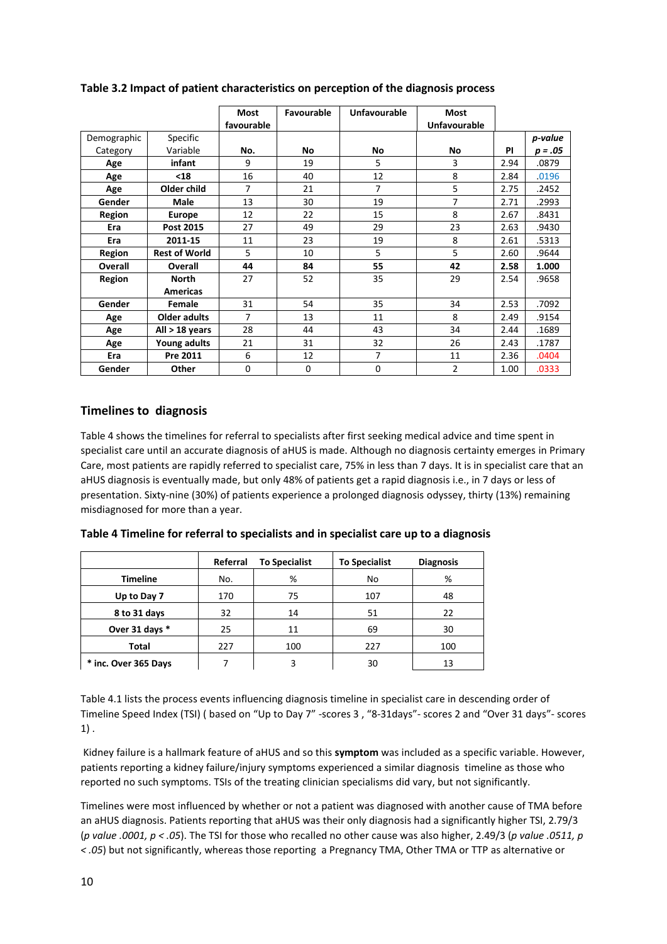|             |                      | <b>Most</b><br>favourable | Favourable  | Unfavourable | <b>Most</b><br><b>Unfavourable</b> |           |           |
|-------------|----------------------|---------------------------|-------------|--------------|------------------------------------|-----------|-----------|
| Demographic | Specific             |                           |             |              |                                    |           | p-value   |
| Category    | Variable             | No.                       | No          | No           | No                                 | <b>PI</b> | $p = .05$ |
| Age         | infant               | 9                         | 19          | 5            | 3                                  | 2.94      | .0879     |
| Age         | $18$                 | 16                        | 40          | 12           | 8                                  | 2.84      | .0196     |
| Age         | Older child          | 7                         | 21          | 7            | 5                                  | 2.75      | .2452     |
| Gender      | <b>Male</b>          | 13                        | 30          | 19           | 7                                  | 2.71      | .2993     |
| Region      | Europe               | 12                        | 22          | 15           | 8                                  | 2.67      | .8431     |
| Era         | Post 2015            | 27                        | 49          | 29           | 23                                 | 2.63      | .9430     |
| Era         | 2011-15              | 11                        | 23          | 19           | 8                                  | 2.61      | .5313     |
| Region      | <b>Rest of World</b> | 5                         | 10          | 5            | 5                                  | 2.60      | .9644     |
| Overall     | Overall              | 44                        | 84          | 55           | 42                                 | 2.58      | 1.000     |
| Region      | <b>North</b>         | 27                        | 52          | 35           | 29                                 | 2.54      | .9658     |
|             | <b>Americas</b>      |                           |             |              |                                    |           |           |
| Gender      | Female               | 31                        | 54          | 35           | 34                                 | 2.53      | .7092     |
| Age         | Older adults         | 7                         | 13          | 11           | 8                                  | 2.49      | .9154     |
| Age         | All $>$ 18 years     | 28                        | 44          | 43           | 34                                 | 2.44      | .1689     |
| Age         | Young adults         | 21                        | 31          | 32           | 26                                 | 2.43      | .1787     |
| Era         | Pre 2011             | 6                         | 12          | 7            | 11                                 | 2.36      | .0404     |
| Gender      | Other                | 0                         | $\mathbf 0$ | 0            | 2                                  | 1.00      | .0333     |

#### **Table 3.2 Impact of patient characteristics on perception of the diagnosis process**

## **Timelines to diagnosis**

Table 4 shows the timelines for referral to specialists after first seeking medical advice and time spent in specialist care until an accurate diagnosis of aHUS is made. Although no diagnosis certainty emerges in Primary Care, most patients are rapidly referred to specialist care, 75% in less than 7 days. It is in specialist care that an aHUS diagnosis is eventually made, but only 48% of patients get a rapid diagnosis i.e., in 7 days or less of presentation. Sixty-nine (30%) of patients experience a prolonged diagnosis odyssey, thirty (13%) remaining misdiagnosed for more than a year.

|                      | Referral | <b>To Specialist</b> | <b>To Specialist</b> | <b>Diagnosis</b> |
|----------------------|----------|----------------------|----------------------|------------------|
| <b>Timeline</b>      | No.      | %                    | No                   | %                |
| Up to Day 7          | 170      | 75                   | 107                  | 48               |
| 8 to 31 days         | 32       | 14                   | 51                   | 22               |
| Over 31 days *       | 25       | 11                   | 69                   | 30               |
| <b>Total</b>         | 227      | 100                  | 227                  | 100              |
| * inc. Over 365 Days |          | 3                    | 30                   | 13               |

**Table 4 Timeline for referral to specialists and in specialist care up to a diagnosis**

Table 4.1 lists the process events influencing diagnosis timeline in specialist care in descending order of Timeline Speed Index (TSI) ( based on "Up to Day 7" -scores 3 , "8-31days"- scores 2 and "Over 31 days"- scores 1) .

Kidney failure is a hallmark feature of aHUS and so this **symptom** was included as a specific variable. However, patients reporting a kidney failure/injury symptoms experienced a similar diagnosis timeline as those who reported no such symptoms. TSIs of the treating clinician specialisms did vary, but not significantly.

Timelines were most influenced by whether or not a patient was diagnosed with another cause of TMA before an aHUS diagnosis. Patients reporting that aHUS was their only diagnosis had a significantly higher TSI, 2.79/3 (*p value .0001, p < .05*). The TSI for those who recalled no other cause was also higher, 2.49/3 (*p value .0511, p < .05*) but not significantly, whereas those reporting a Pregnancy TMA, Other TMA or TTP as alternative or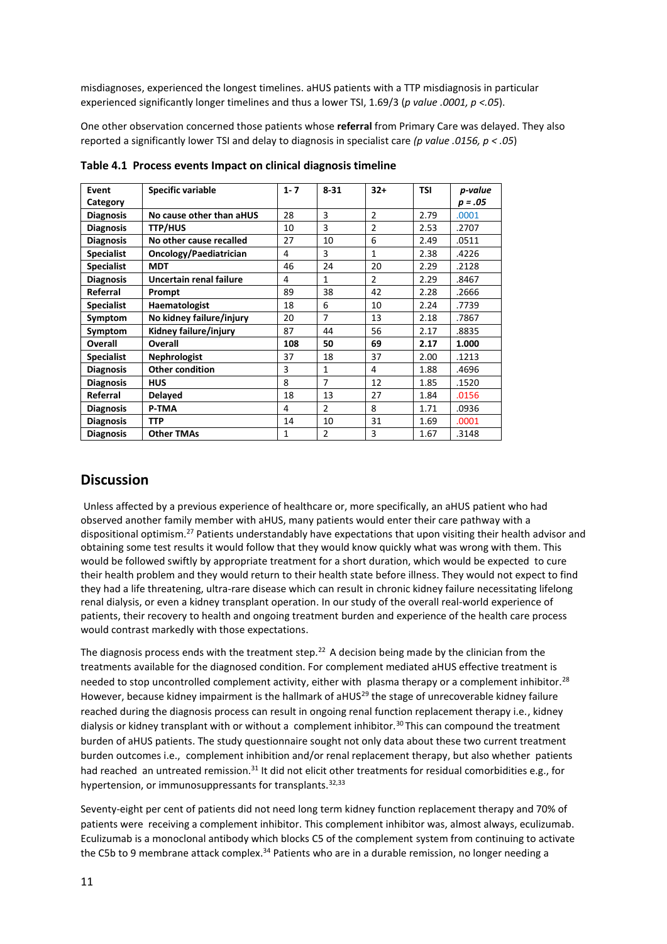misdiagnoses, experienced the longest timelines. aHUS patients with a TTP misdiagnosis in particular experienced significantly longer timelines and thus a lower TSI, 1.69/3 (*p value .0001, p <.05*).

One other observation concerned those patients whose **referral** from Primary Care was delayed. They also reported a significantly lower TSI and delay to diagnosis in specialist care *(p value .0156, p < .05*)

| Event<br>Category | <b>Specific variable</b> | $1 - 7$ | $8 - 31$       | $32+$          | <b>TSI</b> | p-value<br>$p = .05$ |
|-------------------|--------------------------|---------|----------------|----------------|------------|----------------------|
| <b>Diagnosis</b>  | No cause other than aHUS | 28      | 3              | $\overline{2}$ | 2.79       | .0001                |
| <b>Diagnosis</b>  | <b>TTP/HUS</b>           | 10      | 3              | $\overline{2}$ | 2.53       | .2707                |
| <b>Diagnosis</b>  | No other cause recalled  | 27      | 10             | 6              | 2.49       | .0511                |
| <b>Specialist</b> | Oncology/Paediatrician   | 4       | 3              | $\mathbf{1}$   | 2.38       | .4226                |
| <b>Specialist</b> | <b>MDT</b>               | 46      | 24             | 20             | 2.29       | .2128                |
| <b>Diagnosis</b>  | Uncertain renal failure  | 4       | 1              | $\overline{2}$ | 2.29       | .8467                |
| Referral          | Prompt                   | 89      | 38             | 42             | 2.28       | .2666                |
| <b>Specialist</b> | Haematologist            | 18      | 6              | 10             | 2.24       | .7739                |
| Symptom           | No kidney failure/injury | 20      | $\overline{7}$ | 13             | 2.18       | .7867                |
| Symptom           | Kidney failure/injury    | 87      | 44             | 56             | 2.17       | .8835                |
| Overall           | <b>Overall</b>           | 108     | 50             | 69             | 2.17       | 1.000                |
| <b>Specialist</b> | <b>Nephrologist</b>      | 37      | 18             | 37             | 2.00       | .1213                |
| <b>Diagnosis</b>  | <b>Other condition</b>   | 3       | $\mathbf{1}$   | 4              | 1.88       | .4696                |
| <b>Diagnosis</b>  | <b>HUS</b>               | 8       | $\overline{7}$ | 12             | 1.85       | .1520                |
| Referral          | <b>Delayed</b>           | 18      | 13             | 27             | 1.84       | .0156                |
| <b>Diagnosis</b>  | P-TMA                    | 4       | $\overline{2}$ | 8              | 1.71       | .0936                |
| <b>Diagnosis</b>  | <b>TTP</b>               | 14      | 10             | 31             | 1.69       | .0001                |
| <b>Diagnosis</b>  | <b>Other TMAs</b>        | 1       | $\overline{2}$ | 3              | 1.67       | .3148                |

**Table 4.1 Process events Impact on clinical diagnosis timeline**

# **Discussion**

Unless affected by a previous experience of healthcare or, more specifically, an aHUS patient who had observed another family member with aHUS, many patients would enter their care pathway with a dispositional optimism.<sup>27</sup> Patients understandably have expectations that upon visiting their health advisor and obtaining some test results it would follow that they would know quickly what was wrong with them. This would be followed swiftly by appropriate treatment for a short duration, which would be expected to cure their health problem and they would return to their health state before illness. They would not expect to find they had a life threatening, ultra-rare disease which can result in chronic kidney failure necessitating lifelong renal dialysis, or even a kidney transplant operation. In our study of the overall real-world experience of patients, their recovery to health and ongoing treatment burden and experience of the health care process would contrast markedly with those expectations.

The diagnosis process ends with the treatment step.<sup>22</sup> A decision being made by the clinician from the treatments available for the diagnosed condition. For complement mediated aHUS effective treatment is needed to stop uncontrolled complement activity, either with plasma therapy or a complement inhibitor.<sup>28</sup> However, because kidney impairment is the hallmark of aHUS<sup>29</sup> the stage of unrecoverable kidney failure reached during the diagnosis process can result in ongoing renal function replacement therapy i.e., kidney dialysis or kidney transplant with or without a complement inhibitor.<sup>30</sup> This can compound the treatment burden of aHUS patients. The study questionnaire sought not only data about these two current treatment burden outcomes i.e., complement inhibition and/or renal replacement therapy, but also whether patients had reached an untreated remission.<sup>31</sup> It did not elicit other treatments for residual comorbidities e.g., for hypertension, or immunosuppressants for transplants.<sup>32,33</sup>

Seventy-eight per cent of patients did not need long term kidney function replacement therapy and 70% of patients were receiving a complement inhibitor. This complement inhibitor was, almost always, eculizumab. Eculizumab is a monoclonal antibody which blocks C5 of the complement system from continuing to activate the C5b to 9 membrane attack complex.<sup>34</sup> Patients who are in a durable remission, no longer needing a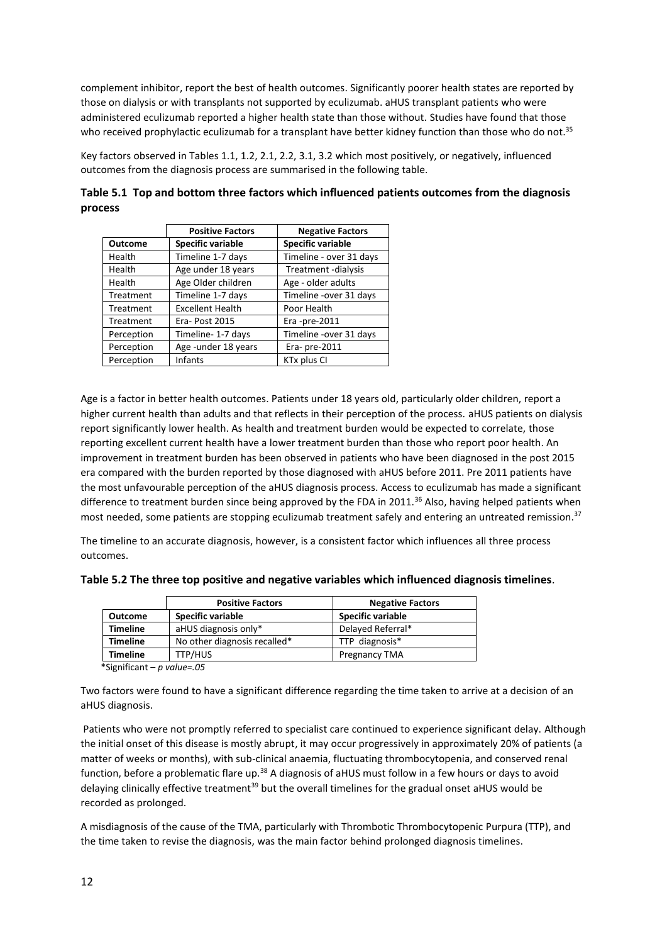complement inhibitor, report the best of health outcomes. Significantly poorer health states are reported by those on dialysis or with transplants not supported by eculizumab. aHUS transplant patients who were administered eculizumab reported a higher health state than those without. Studies have found that those who received prophylactic eculizumab for a transplant have better kidney function than those who do not.<sup>35</sup>

Key factors observed in Tables 1.1, 1.2, 2.1, 2.2, 3.1, 3.2 which most positively, or negatively, influenced outcomes from the diagnosis process are summarised in the following table.

| Table 5.1 Top and bottom three factors which influenced patients outcomes from the diagnosis |  |
|----------------------------------------------------------------------------------------------|--|
| process                                                                                      |  |

|                | <b>Positive Factors</b> | <b>Negative Factors</b>  |
|----------------|-------------------------|--------------------------|
| <b>Outcome</b> | Specific variable       | <b>Specific variable</b> |
| Health         | Timeline 1-7 days       | Timeline - over 31 days  |
| Health         | Age under 18 years      | Treatment -dialysis      |
| Health         | Age Older children      | Age - older adults       |
| Treatment      | Timeline 1-7 days       | Timeline -over 31 days   |
| Treatment      | <b>Excellent Health</b> | Poor Health              |
| Treatment      | Era-Post 2015           | Era -pre-2011            |
| Perception     | Timeline-1-7 days       | Timeline -over 31 days   |
| Perception     | Age-under 18 years      | Era- pre-2011            |
| Perception     | <b>Infants</b>          | KTx plus CI              |

Age is a factor in better health outcomes. Patients under 18 years old, particularly older children, report a higher current health than adults and that reflects in their perception of the process. aHUS patients on dialysis report significantly lower health. As health and treatment burden would be expected to correlate, those reporting excellent current health have a lower treatment burden than those who report poor health. An improvement in treatment burden has been observed in patients who have been diagnosed in the post 2015 era compared with the burden reported by those diagnosed with aHUS before 2011. Pre 2011 patients have the most unfavourable perception of the aHUS diagnosis process. Access to eculizumab has made a significant difference to treatment burden since being approved by the FDA in 2011.<sup>36</sup> Also, having helped patients when most needed, some patients are stopping eculizumab treatment safely and entering an untreated remission.<sup>37</sup>

The timeline to an accurate diagnosis, however, is a consistent factor which influences all three process outcomes.

| Table 5.2 The three top positive and negative variables which influenced diagnosis timelines. |  |  |  |
|-----------------------------------------------------------------------------------------------|--|--|--|
|-----------------------------------------------------------------------------------------------|--|--|--|

|                                                                                                                                                               | <b>Positive Factors</b>      | <b>Negative Factors</b> |
|---------------------------------------------------------------------------------------------------------------------------------------------------------------|------------------------------|-------------------------|
| <b>Outcome</b>                                                                                                                                                | Specific variable            | Specific variable       |
| <b>Timeline</b>                                                                                                                                               | aHUS diagnosis only*         | Delayed Referral*       |
| <b>Timeline</b>                                                                                                                                               | No other diagnosis recalled* | TTP diagnosis*          |
| <b>Timeline</b>                                                                                                                                               | TTP/HUS                      | <b>Pregnancy TMA</b>    |
| $\mathbf{a} \cdot \mathbf{a}$ . $\mathbf{a} \cdot \mathbf{a}$ . The contract of $\mathbf{a} \cdot \mathbf{a}$ . The contract of $\mathbf{a} \cdot \mathbf{a}$ | .                            |                         |

\*Significant – *p value=.05*

Two factors were found to have a significant difference regarding the time taken to arrive at a decision of an aHUS diagnosis.

Patients who were not promptly referred to specialist care continued to experience significant delay. Although the initial onset of this disease is mostly abrupt, it may occur progressively in approximately 20% of patients (a matter of weeks or months), with sub-clinical anaemia, fluctuating thrombocytopenia, and conserved renal function, before a problematic flare up.<sup>38</sup> A diagnosis of aHUS must follow in a few hours or days to avoid delaying clinically effective treatment<sup>39</sup> but the overall timelines for the gradual onset aHUS would be recorded as prolonged.

A misdiagnosis of the cause of the TMA, particularly with Thrombotic Thrombocytopenic Purpura (TTP), and the time taken to revise the diagnosis, was the main factor behind prolonged diagnosis timelines.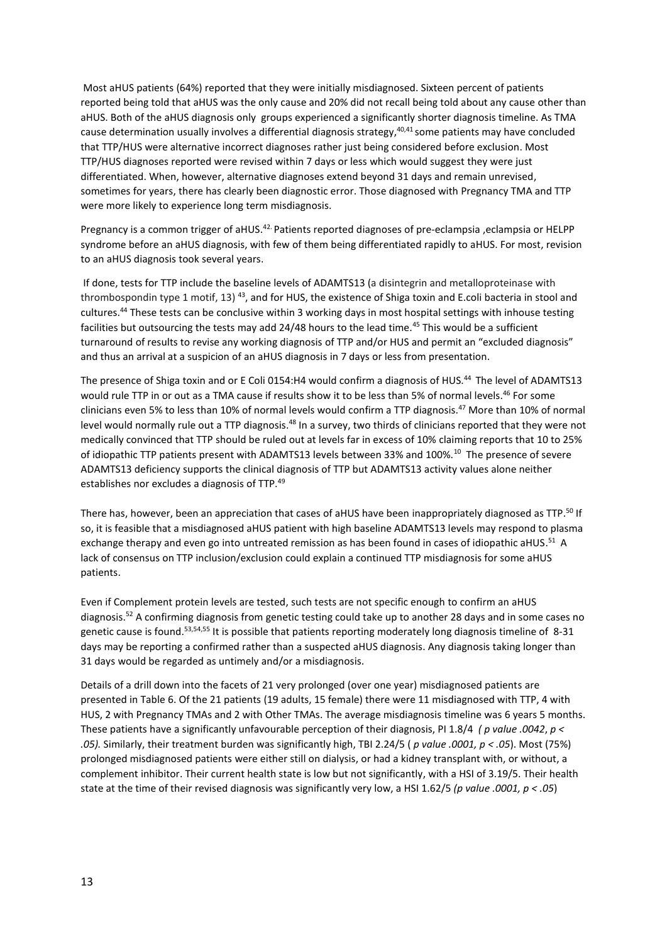Most aHUS patients (64%) reported that they were initially misdiagnosed. Sixteen percent of patients reported being told that aHUS was the only cause and 20% did not recall being told about any cause other than aHUS. Both of the aHUS diagnosis only groups experienced a significantly shorter diagnosis timeline. As TMA cause determination usually involves a differential diagnosis strategy, <sup>40,41</sup> some patients may have concluded that TTP/HUS were alternative incorrect diagnoses rather just being considered before exclusion. Most TTP/HUS diagnoses reported were revised within 7 days or less which would suggest they were just differentiated. When, however, alternative diagnoses extend beyond 31 days and remain unrevised, sometimes for years, there has clearly been diagnostic error. Those diagnosed with Pregnancy TMA and TTP were more likely to experience long term misdiagnosis.

Pregnancy is a common trigger of aHUS.<sup>42.</sup> Patients reported diagnoses of pre-eclampsia ,eclampsia or HELPP syndrome before an aHUS diagnosis, with few of them being differentiated rapidly to aHUS. For most, revision to an aHUS diagnosis took several years.

If done, tests for TTP include the baseline levels of ADAMTS13 (a disintegrin and metalloproteinase with thrombospondin type 1 motif, 13)<sup>43</sup>, and for HUS, the existence of Shiga toxin and E.coli bacteria in stool and cultures. <sup>44</sup> These tests can be conclusive within 3 working days in most hospital settings with inhouse testing facilities but outsourcing the tests may add 24/48 hours to the lead time.<sup>45</sup> This would be a sufficient turnaround of results to revise any working diagnosis of TTP and/or HUS and permit an "excluded diagnosis" and thus an arrival at a suspicion of an aHUS diagnosis in 7 days or less from presentation.

The presence of Shiga toxin and or E Coli 0154:H4 would confirm a diagnosis of HUS.<sup>44</sup> The level of ADAMTS13 would rule TTP in or out as a TMA cause if results show it to be less than 5% of normal levels.<sup>46</sup> For some clinicians even 5% to less than 10% of normal levels would confirm a TTP diagnosis.<sup>47</sup> More than 10% of normal level would normally rule out a TTP diagnosis.<sup>48</sup> In a survey, two thirds of clinicians reported that they were not medically convinced that TTP should be ruled out at levels far in excess of 10% claiming reports that 10 to 25% of idiopathic TTP patients present with ADAMTS13 levels between 33% and 100%.<sup>10</sup> The presence of severe ADAMTS13 deficiency supports the clinical diagnosis of TTP but ADAMTS13 activity values alone neither establishes nor excludes a diagnosis of TTP.<sup>49</sup>

There has, however, been an appreciation that cases of aHUS have been inappropriately diagnosed as TTP.<sup>50</sup> If so, it is feasible that a misdiagnosed aHUS patient with high baseline ADAMTS13 levels may respond to plasma exchange therapy and even go into untreated remission as has been found in cases of idiopathic aHUS.<sup>51</sup> A lack of consensus on TTP inclusion/exclusion could explain a continued TTP misdiagnosis for some aHUS patients.

Even if Complement protein levels are tested, such tests are not specific enough to confirm an aHUS diagnosis.<sup>52</sup> A confirming diagnosis from genetic testing could take up to another 28 days and in some cases no genetic cause is found.<sup>53,54,55</sup> It is possible that patients reporting moderately long diagnosis timeline of 8-31 days may be reporting a confirmed rather than a suspected aHUS diagnosis. Any diagnosis taking longer than 31 days would be regarded as untimely and/or a misdiagnosis.

Details of a drill down into the facets of 21 very prolonged (over one year) misdiagnosed patients are presented in Table 6. Of the 21 patients (19 adults, 15 female) there were 11 misdiagnosed with TTP, 4 with HUS, 2 with Pregnancy TMAs and 2 with Other TMAs. The average misdiagnosis timeline was 6 years 5 months. These patients have a significantly unfavourable perception of their diagnosis, PI 1.8/4 *( p value .0042*, *p < .05).* Similarly, their treatment burden was significantly high, TBI 2.24/5 ( *p value .0001, p < .05*). Most (75%) prolonged misdiagnosed patients were either still on dialysis, or had a kidney transplant with, or without, a complement inhibitor. Their current health state is low but not significantly, with a HSI of 3.19/5. Their health state at the time of their revised diagnosis was significantly very low, a HSI 1.62/5 *(p value .0001, p < .05*)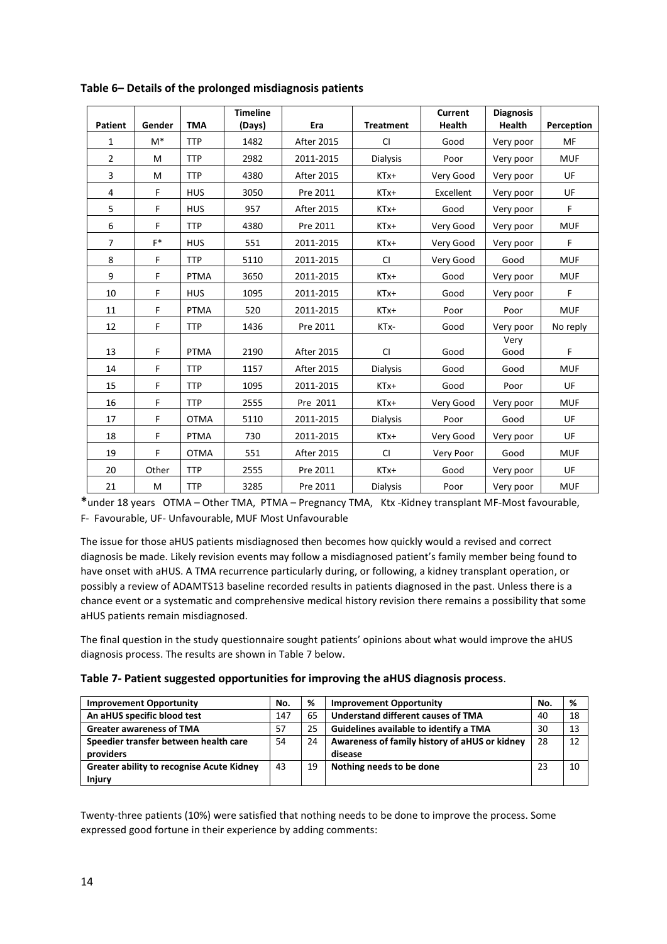| <b>Patient</b> | Gender | <b>TMA</b>  | <b>Timeline</b><br>(Days) | Era               | <b>Treatment</b> | <b>Current</b><br><b>Health</b> | <b>Diagnosis</b><br><b>Health</b> | Perception |
|----------------|--------|-------------|---------------------------|-------------------|------------------|---------------------------------|-----------------------------------|------------|
| 1              | $M^*$  | <b>TTP</b>  | 1482                      | <b>After 2015</b> | <b>CI</b>        | Good                            | Very poor                         | MF         |
| $\overline{2}$ | M      | <b>TTP</b>  | 2982                      | 2011-2015         | Dialysis         | Poor                            | Very poor                         | <b>MUF</b> |
| 3              | M      | <b>TTP</b>  | 4380                      | <b>After 2015</b> | KTx+             | Very Good                       | Very poor                         | UF         |
| 4              | F      | <b>HUS</b>  | 3050                      | Pre 2011          | KTx+             | Excellent                       | Very poor                         | UF         |
| 5              | F      | <b>HUS</b>  | 957                       | <b>After 2015</b> | KTx+             | Good                            | Very poor                         | F          |
| 6              | F      | <b>TTP</b>  | 4380                      | Pre 2011          | KTx+             | Very Good                       | Very poor                         | <b>MUF</b> |
| $\overline{7}$ | $F^*$  | <b>HUS</b>  | 551                       | 2011-2015         | KTx+             | Very Good                       | Very poor                         | F          |
| 8              | F      | <b>TTP</b>  | 5110                      | 2011-2015         | <b>CI</b>        | Very Good                       | Good                              | <b>MUF</b> |
| 9              | F      | <b>PTMA</b> | 3650                      | 2011-2015         | KTx+             | Good                            | Very poor                         | <b>MUF</b> |
| 10             | F      | <b>HUS</b>  | 1095                      | 2011-2015         | KTx+             | Good                            | Very poor                         | F          |
| 11             | F      | <b>PTMA</b> | 520                       | 2011-2015         | KTx+             | Poor                            | Poor                              | <b>MUF</b> |
| 12             | F      | <b>TTP</b>  | 1436                      | Pre 2011          | KTx-             | Good                            | Very poor                         | No reply   |
| 13             | F      | <b>PTMA</b> | 2190                      | <b>After 2015</b> | <b>CI</b>        | Good                            | Very<br>Good                      | F          |
| 14             | F      | <b>TTP</b>  | 1157                      | <b>After 2015</b> | Dialysis         | Good                            | Good                              | <b>MUF</b> |
| 15             | F      | <b>TTP</b>  | 1095                      | 2011-2015         | KTx+             | Good                            | Poor                              | UF         |
| 16             | F      | <b>TTP</b>  | 2555                      | Pre 2011          | KTx+             | Very Good                       | Very poor                         | <b>MUF</b> |
| 17             | F      | <b>OTMA</b> | 5110                      | 2011-2015         | <b>Dialysis</b>  | Poor                            | Good                              | UF         |
| 18             | F      | <b>PTMA</b> | 730                       | 2011-2015         | $KTx+$           | Very Good                       | Very poor                         | UF         |
| 19             | F      | <b>OTMA</b> | 551                       | <b>After 2015</b> | <b>CI</b>        | Very Poor                       | Good                              | <b>MUF</b> |
| 20             | Other  | <b>TTP</b>  | 2555                      | Pre 2011          | KTx+             | Good                            | Very poor                         | UF         |
| 21             | M      | <b>TTP</b>  | 3285                      | Pre 2011          | <b>Dialysis</b>  | Poor                            | Very poor                         | <b>MUF</b> |

**Table 6– Details of the prolonged misdiagnosis patients**

**\***under 18 years OTMA – Other TMA, PTMA – Pregnancy TMA, Ktx -Kidney transplant MF-Most favourable, F- Favourable, UF- Unfavourable, MUF Most Unfavourable

The issue for those aHUS patients misdiagnosed then becomes how quickly would a revised and correct diagnosis be made. Likely revision events may follow a misdiagnosed patient's family member being found to have onset with aHUS. A TMA recurrence particularly during, or following, a kidney transplant operation, or possibly a review of ADAMTS13 baseline recorded results in patients diagnosed in the past. Unless there is a chance event or a systematic and comprehensive medical history revision there remains a possibility that some aHUS patients remain misdiagnosed.

The final question in the study questionnaire sought patients' opinions about what would improve the aHUS diagnosis process. The results are shown in Table 7 below.

| Table 7- Patient suggested opportunities for improving the aHUS diagnosis process. |  |  |
|------------------------------------------------------------------------------------|--|--|
|------------------------------------------------------------------------------------|--|--|

| <b>Improvement Opportunity</b>                   | No. | %  | <b>Improvement Opportunity</b>                | No. | %  |
|--------------------------------------------------|-----|----|-----------------------------------------------|-----|----|
| An aHUS specific blood test                      | 147 | 65 | Understand different causes of TMA            | 40  | 18 |
| <b>Greater awareness of TMA</b>                  | 57  | 25 | Guidelines available to identify a TMA        | 30  | 13 |
| Speedier transfer between health care            | 54  | 24 | Awareness of family history of aHUS or kidney | 28  | 12 |
| providers                                        |     |    | disease                                       |     |    |
| <b>Greater ability to recognise Acute Kidney</b> | 43  | 19 | Nothing needs to be done                      | 23  | 10 |
| <b>Injury</b>                                    |     |    |                                               |     |    |

Twenty-three patients (10%) were satisfied that nothing needs to be done to improve the process. Some expressed good fortune in their experience by adding comments: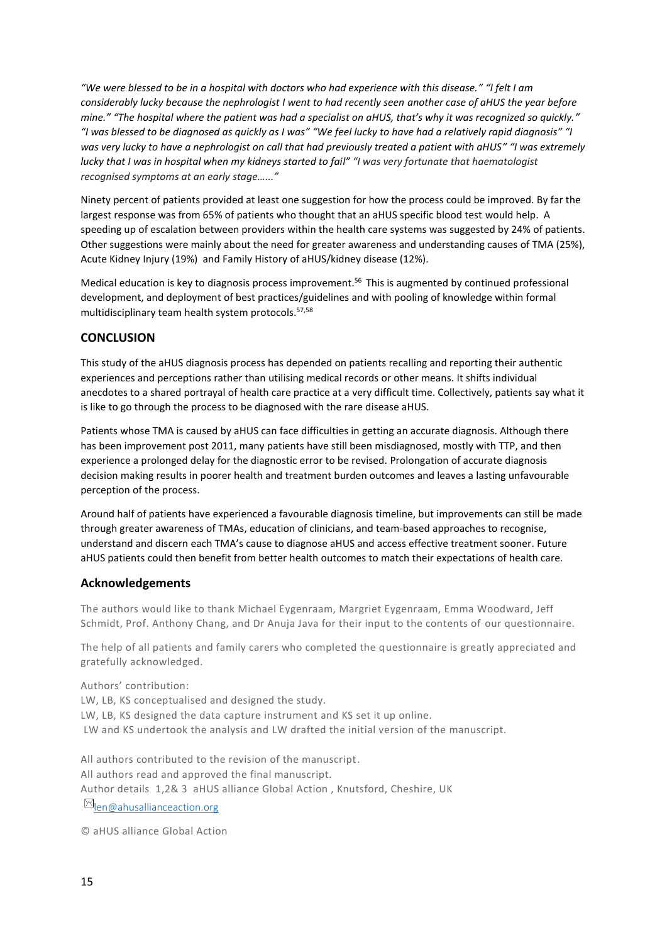*"We were blessed to be in a hospital with doctors who had experience with this disease." "I felt I am considerably lucky because the nephrologist I went to had recently seen another case of aHUS the year before mine." "The hospital where the patient was had a specialist on aHUS, that's why it was recognized so quickly." "I was blessed to be diagnosed as quickly as I was" "We feel lucky to have had a relatively rapid diagnosis" "I was very lucky to have a nephrologist on call that had previously treated a patient with aHUS" "I was extremely lucky that I was in hospital when my kidneys started to fail" "I was very fortunate that haematologist recognised symptoms at an early stage…..."* 

Ninety percent of patients provided at least one suggestion for how the process could be improved. By far the largest response was from 65% of patients who thought that an aHUS specific blood test would help. A speeding up of escalation between providers within the health care systems was suggested by 24% of patients. Other suggestions were mainly about the need for greater awareness and understanding causes of TMA (25%), Acute Kidney Injury (19%) and Family History of aHUS/kidney disease (12%).

Medical education is key to diagnosis process improvement.<sup>56</sup> This is augmented by continued professional development, and deployment of best practices/guidelines and with pooling of knowledge within formal multidisciplinary team health system protocols.57,58

# **CONCLUSION**

This study of the aHUS diagnosis process has depended on patients recalling and reporting their authentic experiences and perceptions rather than utilising medical records or other means. It shifts individual anecdotes to a shared portrayal of health care practice at a very difficult time. Collectively, patients say what it is like to go through the process to be diagnosed with the rare disease aHUS.

Patients whose TMA is caused by aHUS can face difficulties in getting an accurate diagnosis. Although there has been improvement post 2011, many patients have still been misdiagnosed, mostly with TTP, and then experience a prolonged delay for the diagnostic error to be revised. Prolongation of accurate diagnosis decision making results in poorer health and treatment burden outcomes and leaves a lasting unfavourable perception of the process.

Around half of patients have experienced a favourable diagnosis timeline, but improvements can still be made through greater awareness of TMAs, education of clinicians, and team-based approaches to recognise, understand and discern each TMA's cause to diagnose aHUS and access effective treatment sooner. Future aHUS patients could then benefit from better health outcomes to match their expectations of health care.

#### **Acknowledgements**

The authors would like to thank Michael Eygenraam, Margriet Eygenraam, Emma Woodward, Jeff Schmidt, Prof. Anthony Chang, and Dr Anuja Java for their input to the contents of our questionnaire.

The help of all patients and family carers who completed the questionnaire is greatly appreciated and gratefully acknowledged.

Authors' contribution: LW, LB, KS conceptualised and designed the study. LW, LB, KS designed the data capture instrument and KS set it up online. LW and KS undertook the analysis and LW drafted the initial version of the manuscript.

All authors contributed to the revision of the manuscript. All authors read and approved the final manuscript. Author details 1,2& 3 aHUS alliance Global Action , Knutsford, Cheshire, UK  $\boxtimes$  [len@ahusallianceaction.org](mailto:len@ahusallianceaction.org)

© aHUS alliance Global Action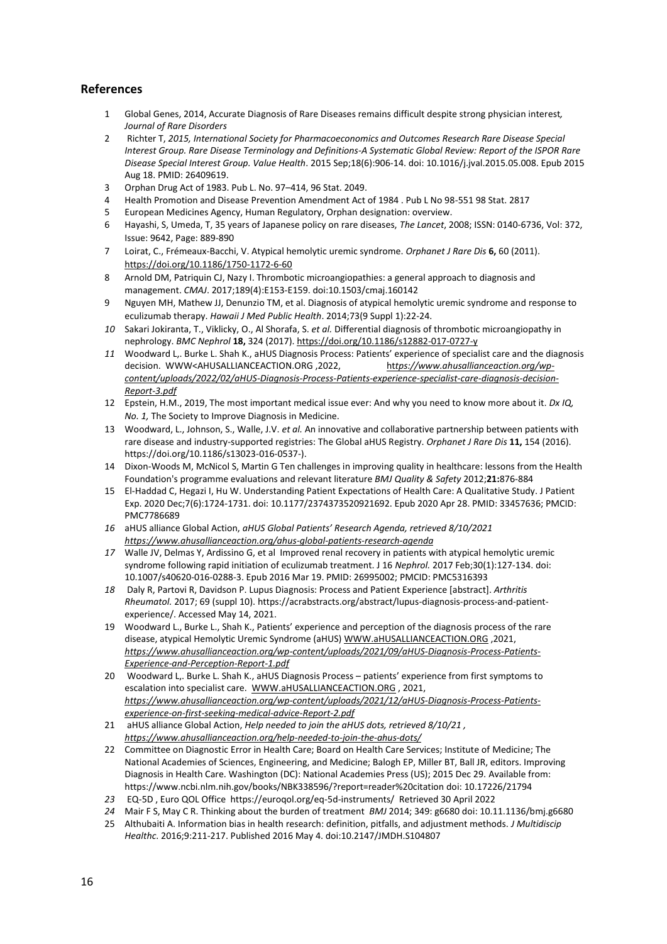# **References**

- 1 Global Genes, 2014, Accurate Diagnosis of Rare Diseases remains difficult despite strong physician interest*, Journal of Rare Disorders*
- 2 Richter T, *2015, International Society for Pharmacoeconomics and Outcomes Research Rare Disease Special Interest Group. Rare Disease Terminology and Definitions-A Systematic Global Review: Report of the ISPOR Rare Disease Special Interest Group. Value Health*. 2015 Sep;18(6):906-14. doi: 10.1016/j.jval.2015.05.008. Epub 2015 Aug 18. PMID: 26409619.
- 3 Orphan Drug Act of 1983. Pub L. No. 97–414, 96 Stat. 2049.
- 4 Health Promotion and Disease Prevention Amendment Act of 1984 . Pub L No 98-551 98 Stat. 2817
- 5 European Medicines Agency, Human Regulatory, Orphan designation: overview.
- 6 Hayashi, S, Umeda, T, 35 years of Japanese policy on rare diseases, *The Lancet*, 2008; ISSN: 0140-6736, Vol: 372, Issue: 9642, Page: 889-890
- 7 Loirat, C., Frémeaux-Bacchi, V. Atypical hemolytic uremic syndrome. *Orphanet J Rare Dis* **6,** 60 (2011). <https://doi.org/10.1186/1750-1172-6-60>
- 8 Arnold DM, Patriquin CJ, Nazy I. Thrombotic microangiopathies: a general approach to diagnosis and management. *CMAJ*. 2017;189(4):E153-E159. doi:10.1503/cmaj.160142
- 9 Nguyen MH, Mathew JJ, Denunzio TM, et al. Diagnosis of atypical hemolytic uremic syndrome and response to eculizumab therapy. *Hawaii J Med Public Health*. 2014;73(9 Suppl 1):22-24.
- *10* Sakari Jokiranta, T., Viklicky, O., Al Shorafa, S. *et al.* Differential diagnosis of thrombotic microangiopathy in nephrology. *BMC Nephrol* **18,** 324 (2017)[. https://doi.org/10.1186/s12882-017-0727-y](https://doi.org/10.1186/s12882-017-0727-y)
- *11* Woodward L,. Burke L. Shah K., aHUS Diagnosis Process: Patients' experience of specialist care and the diagnosis decision. WWW<AHUSALLIANCEACTION.ORG ,2022, ht*[tps://www.ahusallianceaction.org/wp](https://www.ahusallianceaction.org/wp-content/uploads/2022/02/aHUS-Diagnosis-Process-Patients-experience-specialist-care-diagnosis-decision-Report-3.pdf)[content/uploads/2022/02/aHUS-Diagnosis-Process-Patients-experience-specialist-care-diagnosis-decision-](https://www.ahusallianceaction.org/wp-content/uploads/2022/02/aHUS-Diagnosis-Process-Patients-experience-specialist-care-diagnosis-decision-Report-3.pdf)[Report-3.pdf](https://www.ahusallianceaction.org/wp-content/uploads/2022/02/aHUS-Diagnosis-Process-Patients-experience-specialist-care-diagnosis-decision-Report-3.pdf)*
- 12 Epstein, H.M., 2019, The most important medical issue ever: And why you need to know more about it. *Dx IQ, No. 1,* The Society to Improve Diagnosis in Medicine.
- 13 Woodward, L., Johnson, S., Walle, J.V. *et al.* An innovative and collaborative partnership between patients with rare disease and industry-supported registries: The Global aHUS Registry. *Orphanet J Rare Dis* **11,** 154 (2016). https://doi.org/10.1186/s13023-016-0537-).
- 14 Dixon-Woods M, McNicol S, Martin G Ten challenges in improving quality in healthcare: lessons from the Health Foundation's programme evaluations and relevant literature *BMJ Quality & Safety* 2012;**21:**876-884
- 15 El-Haddad C, Hegazi I, Hu W. Understanding Patient Expectations of Health Care: A Qualitative Study. J Patient Exp. 2020 Dec;7(6):1724-1731. doi: 10.1177/2374373520921692. Epub 2020 Apr 28. PMID: 33457636; PMCID: PMC7786689
- *16* aHUS alliance Global Action, *aHUS Global Patients' Research Agenda, retrieved 8/10/2021 <https://www.ahusallianceaction.org/ahus-global-patients-research-agenda>*
- *17* Walle JV, Delmas Y, Ardissino G, et al Improved renal recovery in patients with atypical hemolytic uremic syndrome following rapid initiation of eculizumab treatment. J 16 *Nephrol.* 2017 Feb;30(1):127-134. doi: 10.1007/s40620-016-0288-3. Epub 2016 Mar 19. PMID: 26995002; PMCID: PMC5316393
- *18* Daly R, Partovi R, Davidson P. Lupus Diagnosis: Process and Patient Experience [abstract]. *Arthritis Rheumatol.* 2017; 69 (suppl 10). https://acrabstracts.org/abstract/lupus-diagnosis-process-and-patientexperience/. Accessed May 14, 2021.
- 19 Woodward L., Burke L., Shah K., Patients' experience and perception of the diagnosis process of the rare disease, atypical Hemolytic Uremic Syndrome (aHUS[\) WWW.aHUSALLIANCEACTION.ORG](http://www.ahusallianceaction.org/) ,2021, *[https://www.ahusallianceaction.org/wp-content/uploads/2021/09/aHUS-Diagnosis-Process-Patients-](https://www.ahusallianceaction.org/wp-content/uploads/2021/09/aHUS-Diagnosis-Process-Patients-Experience-and-Perception-Report-1.pdf)[Experience-and-Perception-Report-1.pdf](https://www.ahusallianceaction.org/wp-content/uploads/2021/09/aHUS-Diagnosis-Process-Patients-Experience-and-Perception-Report-1.pdf)*
- 20 Woodward L,. Burke L. Shah K., aHUS Diagnosis Process patients' experience from first symptoms to escalation into specialist care. [WWW.aHUSALLIANCEACTION.ORG](http://www.ahusallianceaction.org/) , 2021, *[https://www.ahusallianceaction.org/wp-content/uploads/2021/12/aHUS-Diagnosis-Process-Patients](https://www.ahusallianceaction.org/wp-content/uploads/2021/12/aHUS-Diagnosis-Process-Patients-experience-on-first-seeking-medical-advice-Report-2.pdf)[experience-on-first-seeking-medical-advice-Report-2.pdf](https://www.ahusallianceaction.org/wp-content/uploads/2021/12/aHUS-Diagnosis-Process-Patients-experience-on-first-seeking-medical-advice-Report-2.pdf)*
- 21 aHUS alliance Global Action, *Help needed to join the aHUS dots, retrieved 8/10/21 , <https://www.ahusallianceaction.org/help-needed-to-join-the-ahus-dots/>*
- 22 Committee on Diagnostic Error in Health Care; Board on Health Care Services; Institute of Medicine; The National Academies of Sciences, Engineering, and Medicine; Balogh EP, Miller BT, Ball JR, editors. Improving Diagnosis in Health Care. Washington (DC): National Academies Press (US); 2015 Dec 29. Available from: https://www.ncbi.nlm.nih.gov/books/NBK338596/?report=reader%20citation doi: 10.17226/21794
- *23* EQ-5D , Euro QOL Office https://euroqol.org/eq-5d-instruments/ Retrieved 30 April 2022
- *24* Mair F S, May C R. Thinking about the burden of treatment *BMJ* 2014; 349: g6680 doi: 10.11.1136/bmj.g6680
- 25 Althubaiti A. Information bias in health research: definition, pitfalls, and adjustment methods. *J Multidiscip Healthc*. 2016;9:211-217. Published 2016 May 4. doi:10.2147/JMDH.S104807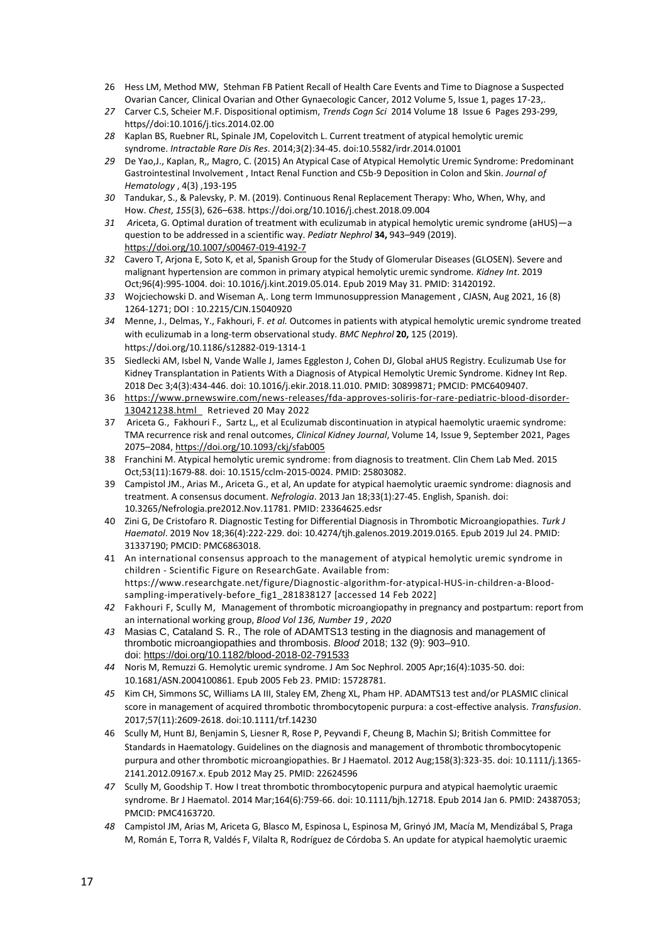- 26 Hess LM, Method MW, Stehman FB Patient Recall of Health Care Events and Time to Diagnose a Suspected Ovarian Cancer*,* Clinical Ovarian and Other Gynaecologic Cancer, 2012 Volume 5, Issue 1, pages 17-23,.
- *27* Carver C.S, Scheier M.F. Dispositional optimism, *Trends Cogn Sci* 2014 Volume 18 Issue 6 Pages 293-299, https//doi:10.1016/j.tics.2014.02.00
- *28* Kaplan BS, Ruebner RL, Spinale JM, Copelovitch L. Current treatment of atypical hemolytic uremic syndrome. *Intractable Rare Dis Res*. 2014;3(2):34-45. doi:10.5582/irdr.2014.01001
- *29* De Yao,J., Kaplan, R,, Magro, C. (2015) An Atypical Case of Atypical Hemolytic Uremic Syndrome: Predominant Gastrointestinal Involvement , Intact Renal Function and C5b-9 Deposition in Colon and Skin. *Journal of Hematology* , 4(3) ,193-195
- *30* Tandukar, S., & Palevsky, P. M. (2019). Continuous Renal Replacement Therapy: Who, When, Why, and How. *Chest*, *155*(3), 626–638. https://doi.org/10.1016/j.chest.2018.09.004
- *31 Ar*iceta, G. Optimal duration of treatment with eculizumab in atypical hemolytic uremic syndrome (aHUS)—a question to be addressed in a scientific way. *Pediatr Nephrol* **34,** 943–949 (2019). <https://doi.org/10.1007/s00467-019-4192-7>
- *32* Cavero T, Arjona E, Soto K, et al, Spanish Group for the Study of Glomerular Diseases (GLOSEN). Severe and malignant hypertension are common in primary atypical hemolytic uremic syndrome*. Kidney Int*. 2019 Oct;96(4):995-1004. doi: 10.1016/j.kint.2019.05.014. Epub 2019 May 31. PMID: 31420192.
- *33* Wojciechowski D. and Wiseman A,. Long term Immunosuppression Management , CJASN, Aug 2021, 16 (8) 1264-1271; DOI : 10.2215/CJN.15040920
- *34* Menne, J., Delmas, Y., Fakhouri, F. *et al.* Outcomes in patients with atypical hemolytic uremic syndrome treated with eculizumab in a long-term observational study. *BMC Nephrol* **20,** 125 (2019). https://doi.org/10.1186/s12882-019-1314-1
- 35 Siedlecki AM, Isbel N, Vande Walle J, James Eggleston J, Cohen DJ, Global aHUS Registry. Eculizumab Use for Kidney Transplantation in Patients With a Diagnosis of Atypical Hemolytic Uremic Syndrome. Kidney Int Rep. 2018 Dec 3;4(3):434-446. doi: 10.1016/j.ekir.2018.11.010. PMID: 30899871; PMCID: PMC6409407.
- 36 [https://www.prnewswire.com/news-releases/fda-approves-soliris-for-rare-pediatric-blood-disorder-](https://www.prnewswire.com/news-releases/fda-approves-soliris-for-rare-pediatric-blood-disorder-130421238.html)[130421238.html](https://www.prnewswire.com/news-releases/fda-approves-soliris-for-rare-pediatric-blood-disorder-130421238.html) Retrieved 20 May 2022
- 37 Ariceta G., Fakhouri F., Sartz L,, et al Eculizumab discontinuation in atypical haemolytic uraemic syndrome: TMA recurrence risk and renal outcomes, *Clinical Kidney Journal*, Volume 14, Issue 9, September 2021, Pages 2075–2084, <https://doi.org/10.1093/ckj/sfab005>
- 38 Franchini M. Atypical hemolytic uremic syndrome: from diagnosis to treatment. Clin Chem Lab Med. 2015 Oct;53(11):1679-88. doi: 10.1515/cclm-2015-0024. PMID: 25803082.
- 39 Campistol JM., Arias M., Ariceta G., et al, An update for atypical haemolytic uraemic syndrome: diagnosis and treatment. A consensus document. *Nefrologia*. 2013 Jan 18;33(1):27-45. English, Spanish. doi: 10.3265/Nefrologia.pre2012.Nov.11781. PMID: 23364625.edsr
- 40 Zini G, De Cristofaro R. Diagnostic Testing for Differential Diagnosis in Thrombotic Microangiopathies. *Turk J Haematol*. 2019 Nov 18;36(4):222-229. doi: 10.4274/tjh.galenos.2019.2019.0165. Epub 2019 Jul 24. PMID: 31337190; PMCID: PMC6863018.
- 41 An international consensus approach to the management of atypical hemolytic uremic syndrome in children - Scientific Figure on ResearchGate. Available from: https://www.researchgate.net/figure/Diagnostic-algorithm-for-atypical-HUS-in-children-a-Bloodsampling-imperatively-before fig1 281838127 [accessed 14 Feb 2022]
- *42* Fakhouri F, Scully M, Management of thrombotic microangiopathy in pregnancy and postpartum: report from an international working group, *Blood Vol 136, Number 19 , 2020*
- *43* Masias C, Cataland S. R., The role of ADAMTS13 testing in the diagnosis and management of thrombotic microangiopathies and thrombosis. *Blood* 2018; 132 (9): 903–910. doi: <https://doi.org/10.1182/blood-2018-02-791533>
- *44* Noris M, Remuzzi G. Hemolytic uremic syndrome. J Am Soc Nephrol. 2005 Apr;16(4):1035-50. doi: 10.1681/ASN.2004100861. Epub 2005 Feb 23. PMID: 15728781.
- *45* Kim CH, Simmons SC, Williams LA III, Staley EM, Zheng XL, Pham HP. ADAMTS13 test and/or PLASMIC clinical score in management of acquired thrombotic thrombocytopenic purpura: a cost-effective analysis. *Transfusion*. 2017;57(11):2609-2618. doi:10.1111/trf.14230
- 46 Scully M, Hunt BJ, Benjamin S, Liesner R, Rose P, Peyvandi F, Cheung B, Machin SJ; British Committee for Standards in Haematology. Guidelines on the diagnosis and management of thrombotic thrombocytopenic purpura and other thrombotic microangiopathies. Br J Haematol. 2012 Aug;158(3):323-35. doi: 10.1111/j.1365-2141.2012.09167.x. Epub 2012 May 25. PMID: 22624596
- *47* Scully M, Goodship T. How I treat thrombotic thrombocytopenic purpura and atypical haemolytic uraemic syndrome. Br J Haematol. 2014 Mar;164(6):759-66. doi: 10.1111/bjh.12718. Epub 2014 Jan 6. PMID: 24387053; PMCID: PMC4163720.
- *48* Campistol JM, Arias M, Ariceta G, Blasco M, Espinosa L, Espinosa M, Grinyó JM, Macía M, Mendizábal S, Praga M, Román E, Torra R, Valdés F, Vilalta R, Rodríguez de Córdoba S. An update for atypical haemolytic uraemic